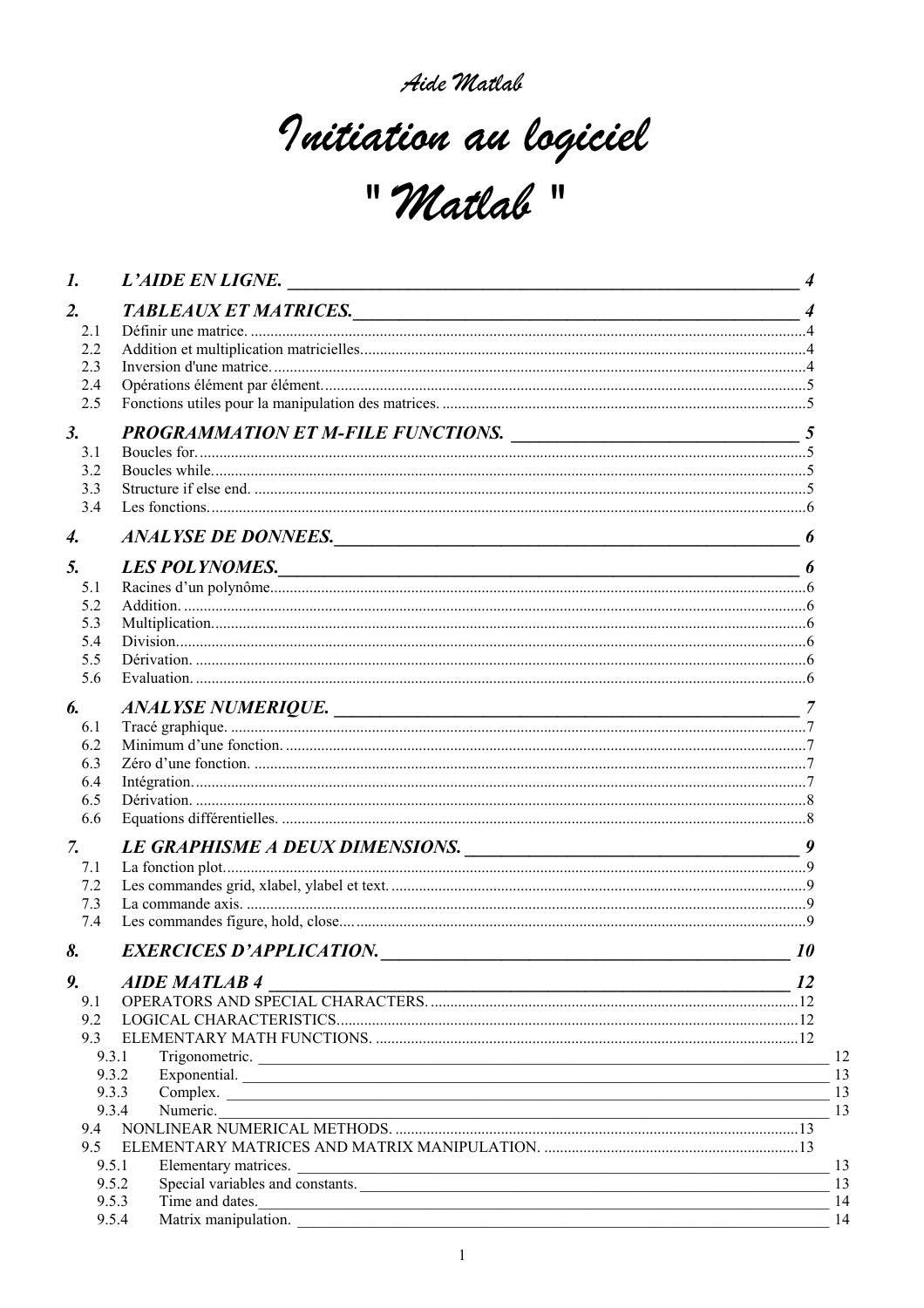# Initiation au logiciel " Matlab"

| 1.  | L'AIDE EN LIGNE.                                      |           |
|-----|-------------------------------------------------------|-----------|
| 2.  | TABLEAUX ET MATRICES.                                 |           |
| 2.1 |                                                       |           |
| 2.2 |                                                       |           |
| 2.3 |                                                       |           |
| 2.4 |                                                       |           |
| 2.5 |                                                       |           |
| 3.  | PROGRAMMATION ET M-FILE FUNCTIONS.                    |           |
| 3.1 |                                                       |           |
| 3.2 |                                                       |           |
| 3.3 |                                                       |           |
| 3.4 |                                                       |           |
| 4.  | ANALYSE DE DONNEES.                                   |           |
| 5.  | LES POLYNOMES.                                        |           |
| 5.1 |                                                       |           |
| 5.2 |                                                       |           |
| 5.3 |                                                       |           |
| 5.4 |                                                       |           |
| 5.5 |                                                       |           |
| 5.6 |                                                       |           |
| 6.  | ANALYSE NUMERIQUE.                                    |           |
| 6.1 |                                                       |           |
| 6.2 |                                                       |           |
| 6.3 |                                                       |           |
| 6.4 |                                                       |           |
| 6.5 |                                                       |           |
| 6.6 |                                                       |           |
| 7.  | LE GRAPHISME A DEUX DIMENSIONS.                       | 9         |
| 7.1 |                                                       |           |
| 7.2 |                                                       |           |
| 7.3 |                                                       |           |
| 7.4 |                                                       |           |
| 8.  | EXERCICES D'APPLICATION.                              | <i>10</i> |
| 9.  | <b>AIDE MATLAB4</b><br>$\overline{\qquad \qquad }$ 12 |           |
| 9.1 |                                                       |           |
| 9.2 |                                                       |           |
| 9.3 |                                                       |           |
|     | 9.3.1<br>Trigonometric.                               |           |
|     | 9.3.2<br>Exponential.                                 |           |
|     | 9.3.3<br>Complex.                                     |           |
|     |                                                       |           |
|     |                                                       |           |
| 9.5 |                                                       |           |
|     | 9.5.1<br>Elementary matrices.<br>9.5.2                |           |
|     | Special variables and constants.<br>9.5.3             |           |
|     | Time and dates.<br>Matrix manipulation.<br>9.5.4      |           |
|     |                                                       |           |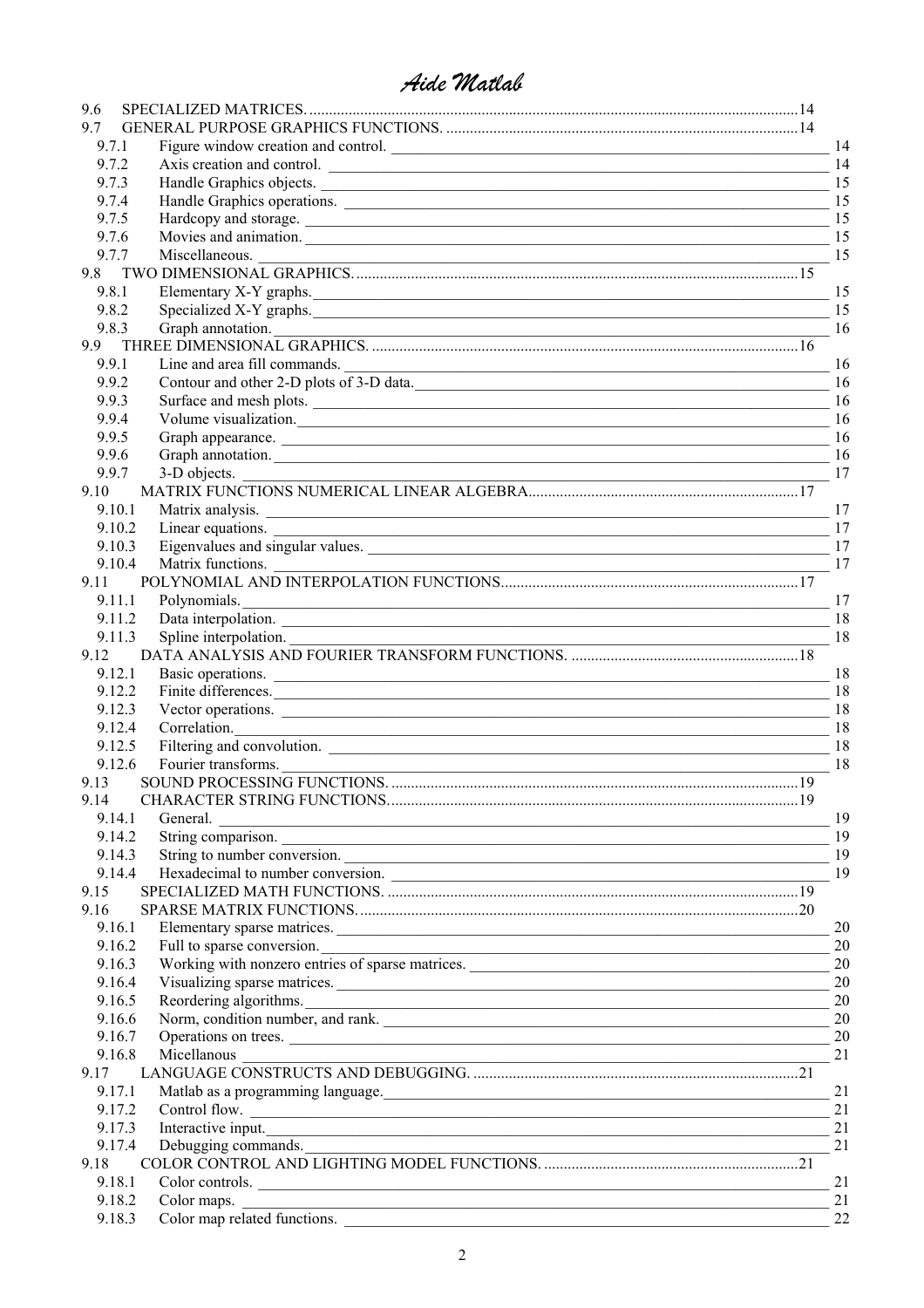| 9.6    |                                                                                                                                           |     |
|--------|-------------------------------------------------------------------------------------------------------------------------------------------|-----|
| 9.7    |                                                                                                                                           |     |
| 9.7.1  | Figure window creation and control.                                                                                                       | 14  |
| 9.7.2  | Axis creation and control.                                                                                                                | 14  |
| 9.7.3  | Handle Graphics objects.                                                                                                                  | 15  |
| 9.7.4  | Handle Graphics operations.                                                                                                               | 15  |
| 9.7.5  | Hardcopy and storage.                                                                                                                     | 15  |
| 9.7.6  | Movies and animation.                                                                                                                     | 15  |
| 9.7.7  |                                                                                                                                           |     |
| 9.8    |                                                                                                                                           |     |
| 9.8.1  | Elementary X-Y graphs. 15                                                                                                                 |     |
| 9.8.2  |                                                                                                                                           | 15  |
| 9.8.3  | Specialized X-Y graphs.                                                                                                                   | -16 |
| 9.9    |                                                                                                                                           |     |
| 9.9.1  |                                                                                                                                           |     |
| 9.9.2  |                                                                                                                                           | 16  |
| 9.9.3  | Contour and other 2-D plots of 3-D data.                                                                                                  |     |
| 9.9.4  |                                                                                                                                           |     |
|        | Volume visualization. 16                                                                                                                  |     |
| 9.9.5  | Graph appearance. 16                                                                                                                      |     |
| 9.9.6  | Graph annotation. 16                                                                                                                      |     |
| 9.9.7  |                                                                                                                                           |     |
| 9.10   |                                                                                                                                           |     |
| 9.10.1 | Matrix analysis.                                                                                                                          | 17  |
| 9.10.2 | Linear equations.<br><u> 1989 - Jan James James James James James James James James James James James James James James James James J</u> | 17  |
| 9.10.3 |                                                                                                                                           | 17  |
| 9.10.4 |                                                                                                                                           |     |
| 9.11   |                                                                                                                                           |     |
| 9.11.1 | Polynomials.<br><u> 1989 - Johann Stoff, deutscher Stoffen und der Stoffen und der Stoffen und der Stoffen und der Stoffen und der</u>    | 17  |
| 9.11.2 |                                                                                                                                           | 18  |
| 9.11.3 |                                                                                                                                           |     |
| 9.12   |                                                                                                                                           |     |
| 9.12.1 |                                                                                                                                           |     |
| 9.12.2 | Finite differences.                                                                                                                       | 18  |
| 9.12.3 | Vector operations.                                                                                                                        | 18  |
| 9.12.4 | Correlation. 18                                                                                                                           |     |
| 9.12.5 | Filtering and convolution.                                                                                                                | -18 |
| 9.12.6 |                                                                                                                                           |     |
| 9.13   |                                                                                                                                           |     |
| 9.14   |                                                                                                                                           |     |
| 9.14.1 | $\sim$ 19<br>General.                                                                                                                     |     |
| 9.14.2 | String comparison.                                                                                                                        | 19  |
| 9.14.3 | String to number conversion.                                                                                                              | 19  |
| 9.14.4 |                                                                                                                                           |     |
| 9.15   |                                                                                                                                           |     |
| 9.16   |                                                                                                                                           |     |
| 9.16.1 |                                                                                                                                           | 20  |
| 9.16.2 | Elementary sparse matrices.                                                                                                               | 20  |
| 9.16.3 | Full to sparse conversion.<br>Working with nonzero entries of sparse matrices.                                                            | 20  |
| 9.16.4 |                                                                                                                                           | 20  |
|        | Visualizing sparse matrices.                                                                                                              | 20  |
| 9.16.5 | Reordering algorithms.                                                                                                                    |     |
| 9.16.6 | Norm, condition number, and rank.                                                                                                         | 20  |
| 9.16.7 | Operations on trees.                                                                                                                      | 20  |
| 9.16.8 | Micellanous                                                                                                                               | 21  |
| 9.17   |                                                                                                                                           |     |
| 9.17.1 | Matlab as a programming language. 21                                                                                                      |     |
| 9.17.2 | Control flow.                                                                                                                             | 21  |
| 9.17.3 | Interactive input.                                                                                                                        | 21  |
| 9.17.4 |                                                                                                                                           |     |
| 9.18   |                                                                                                                                           |     |
| 9.18.1 | Color controls.                                                                                                                           | 21  |
| 9.18.2 | Color maps.<br><u> Alexandro de la contrada de la contrada de la contrada de la contrada de la contrada de la contrada de la co</u>       | 21  |
| 9.18.3 | Color map related functions.                                                                                                              | 22  |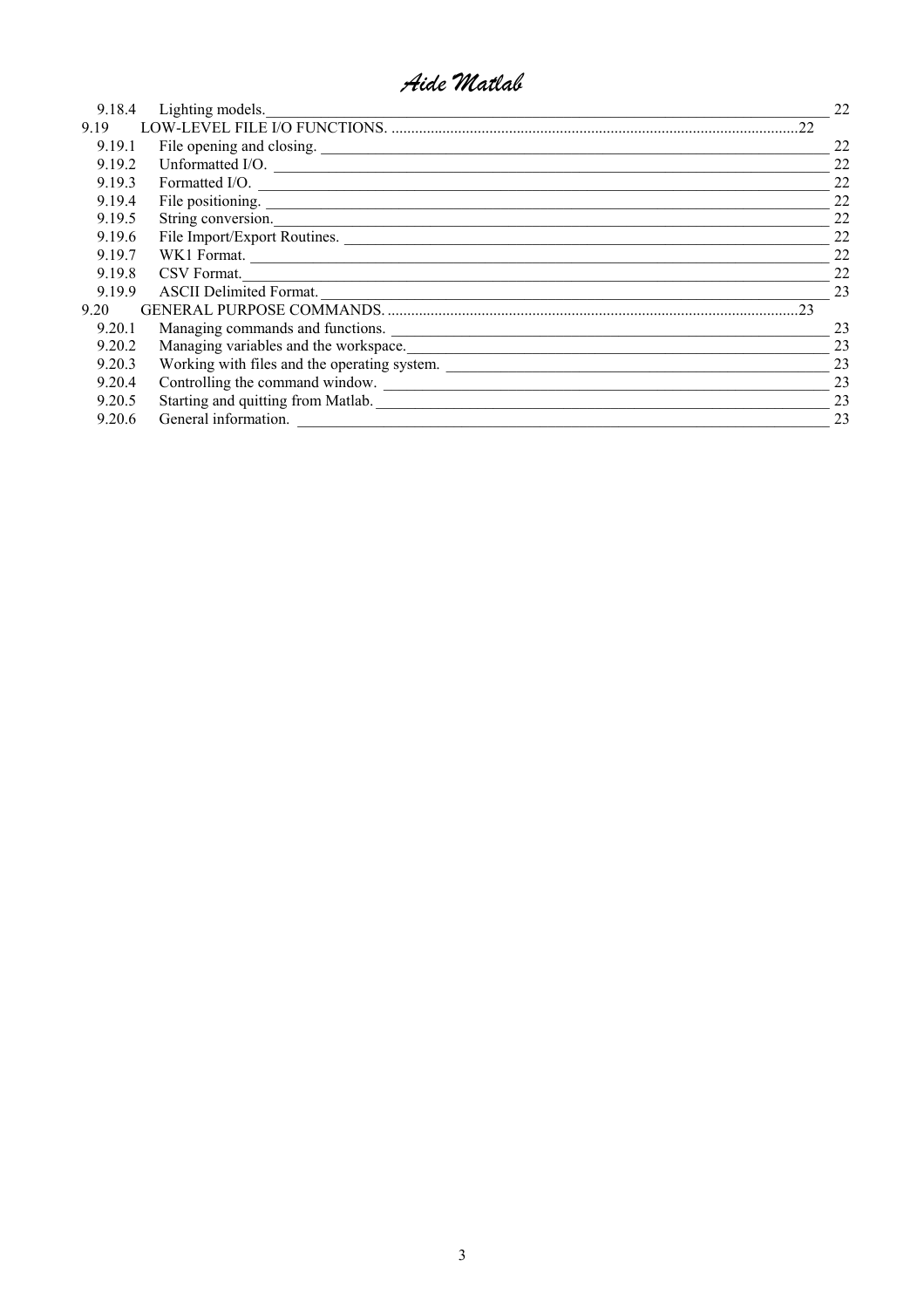| Lighting models.                   | 22                                                                                                                                                                                                                                                                                                                                                      |
|------------------------------------|---------------------------------------------------------------------------------------------------------------------------------------------------------------------------------------------------------------------------------------------------------------------------------------------------------------------------------------------------------|
| 22                                 |                                                                                                                                                                                                                                                                                                                                                         |
|                                    | 22                                                                                                                                                                                                                                                                                                                                                      |
|                                    | 22                                                                                                                                                                                                                                                                                                                                                      |
|                                    | 22                                                                                                                                                                                                                                                                                                                                                      |
|                                    | 22                                                                                                                                                                                                                                                                                                                                                      |
|                                    | 22                                                                                                                                                                                                                                                                                                                                                      |
|                                    | 22                                                                                                                                                                                                                                                                                                                                                      |
|                                    | 22                                                                                                                                                                                                                                                                                                                                                      |
| CSV Format.                        | 22                                                                                                                                                                                                                                                                                                                                                      |
| <b>ASCII Delimited Format.</b>     | 23                                                                                                                                                                                                                                                                                                                                                      |
| 23                                 |                                                                                                                                                                                                                                                                                                                                                         |
| Managing commands and functions.   | 23                                                                                                                                                                                                                                                                                                                                                      |
|                                    | 23                                                                                                                                                                                                                                                                                                                                                      |
|                                    | 23                                                                                                                                                                                                                                                                                                                                                      |
| Controlling the command window.    | 23                                                                                                                                                                                                                                                                                                                                                      |
| Starting and quitting from Matlab. | 23                                                                                                                                                                                                                                                                                                                                                      |
| General information.               | 23                                                                                                                                                                                                                                                                                                                                                      |
| 9.19.1<br>9.20.1<br>9.20.3         | 9.18.4<br>Unformatted I/O.<br>9.19.2<br>Formatted I/O.<br>9.19.3<br>9.19.4<br>File positioning.<br>String conversion.<br>9.19.5<br>File Import/Export Routines.<br>9.19.6<br>WK1 Format.<br>9.19.7<br>9.19.8<br>9.19.9<br>Managing variables and the workspace.<br>9.20.2<br>Working with files and the operating system.<br>9.20.4<br>9.20.5<br>9.20.6 |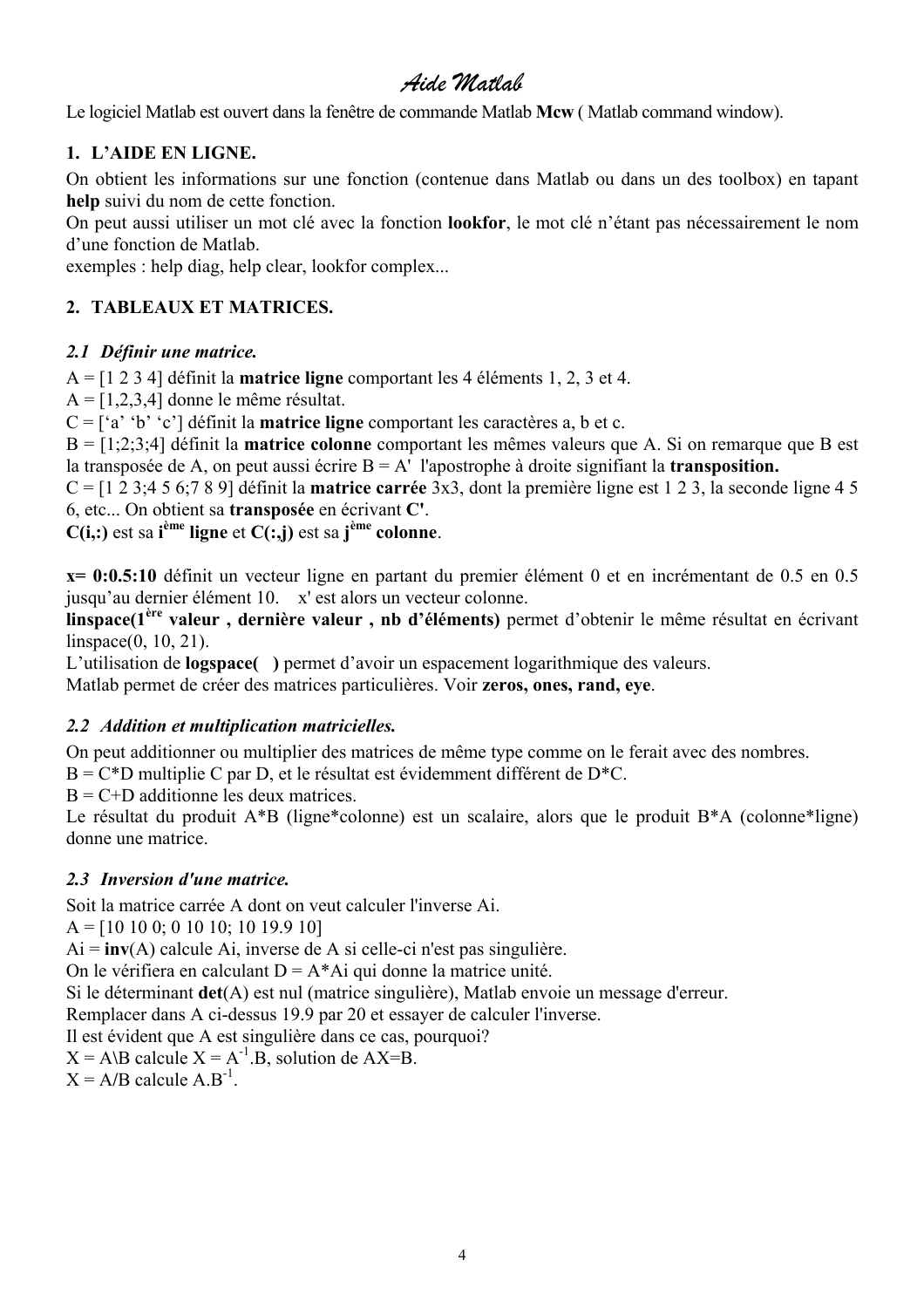<span id="page-3-0"></span>Le logiciel Matlab est ouvert dans la fenêtre de commande Matlab **Mcw** ( Matlab command window).

### **1. L'AIDE EN LIGNE.**

On obtient les informations sur une fonction (contenue dans Matlab ou dans un des toolbox) en tapant **help** suivi du nom de cette fonction.

On peut aussi utiliser un mot clé avec la fonction **lookfor**, le mot clé n'étant pas nécessairement le nom d'une fonction de Matlab.

exemples : help diag, help clear, lookfor complex...

### **2. TABLEAUX ET MATRICES.**

### *2.1 Définir une matrice.*

A = [1 2 3 4] définit la **matrice ligne** comportant les 4 éléments 1, 2, 3 et 4.

 $A = [1,2,3,4]$  donne le même résultat.

C = ['a' 'b' 'c'] définit la **matrice ligne** comportant les caractères a, b et c.

B = [1;2;3;4] définit la **matrice colonne** comportant les mêmes valeurs que A. Si on remarque que B est la transposée de A, on peut aussi écrire B = A' l'apostrophe à droite signifiant la **transposition.**

C = [1 2 3;4 5 6;7 8 9] définit la **matrice carrée** 3x3, dont la première ligne est 1 2 3, la seconde ligne 4 5 6, etc... On obtient sa **transposée** en écrivant **C'**.

 $C(i,:)$  est sa **i**<sup>ème</sup> ligne et  $C(:,j)$  est sa **j**<sup>ème</sup> colonne.

**x= 0:0.5:10** définit un vecteur ligne en partant du premier élément 0 et en incrémentant de 0.5 en 0.5 jusqu'au dernier élément 10. x' est alors un vecteur colonne.

**linspace(1ère valeur , dernière valeur , nb d'éléments)** permet d'obtenir le même résultat en écrivant linspace(0, 10, 21).

L'utilisation de **logspace( )** permet d'avoir un espacement logarithmique des valeurs.

Matlab permet de créer des matrices particulières. Voir **zeros, ones, rand, eye**.

### *2.2 Addition et multiplication matricielles.*

On peut additionner ou multiplier des matrices de même type comme on le ferait avec des nombres.

 $B = C*D$  multiplie C par D, et le résultat est évidemment différent de D<sup>\*</sup>C.

 $B = C + D$  additionne les deux matrices.

Le résultat du produit A\*B (ligne\*colonne) est un scalaire, alors que le produit B\*A (colonne\*ligne) donne une matrice.

### *2.3 Inversion d'une matrice.*

Soit la matrice carrée A dont on veut calculer l'inverse Ai.

A = [10 10 0; 0 10 10; 10 19.9 10]

Ai = **inv**(A) calcule Ai, inverse de A si celle-ci n'est pas singulière.

On le vérifiera en calculant  $D = A^* A$ i qui donne la matrice unité.

Si le déterminant **det**(A) est nul (matrice singulière), Matlab envoie un message d'erreur.

Remplacer dans A ci-dessus 19.9 par 20 et essayer de calculer l'inverse.

Il est évident que A est singulière dans ce cas, pourquoi?

 $X = A\setminus B$  calcule  $X = A^{-1} \cdot B$ , solution de  $AX = B$ .

 $X = A/B$  calcule  $A.B^{-1}$ .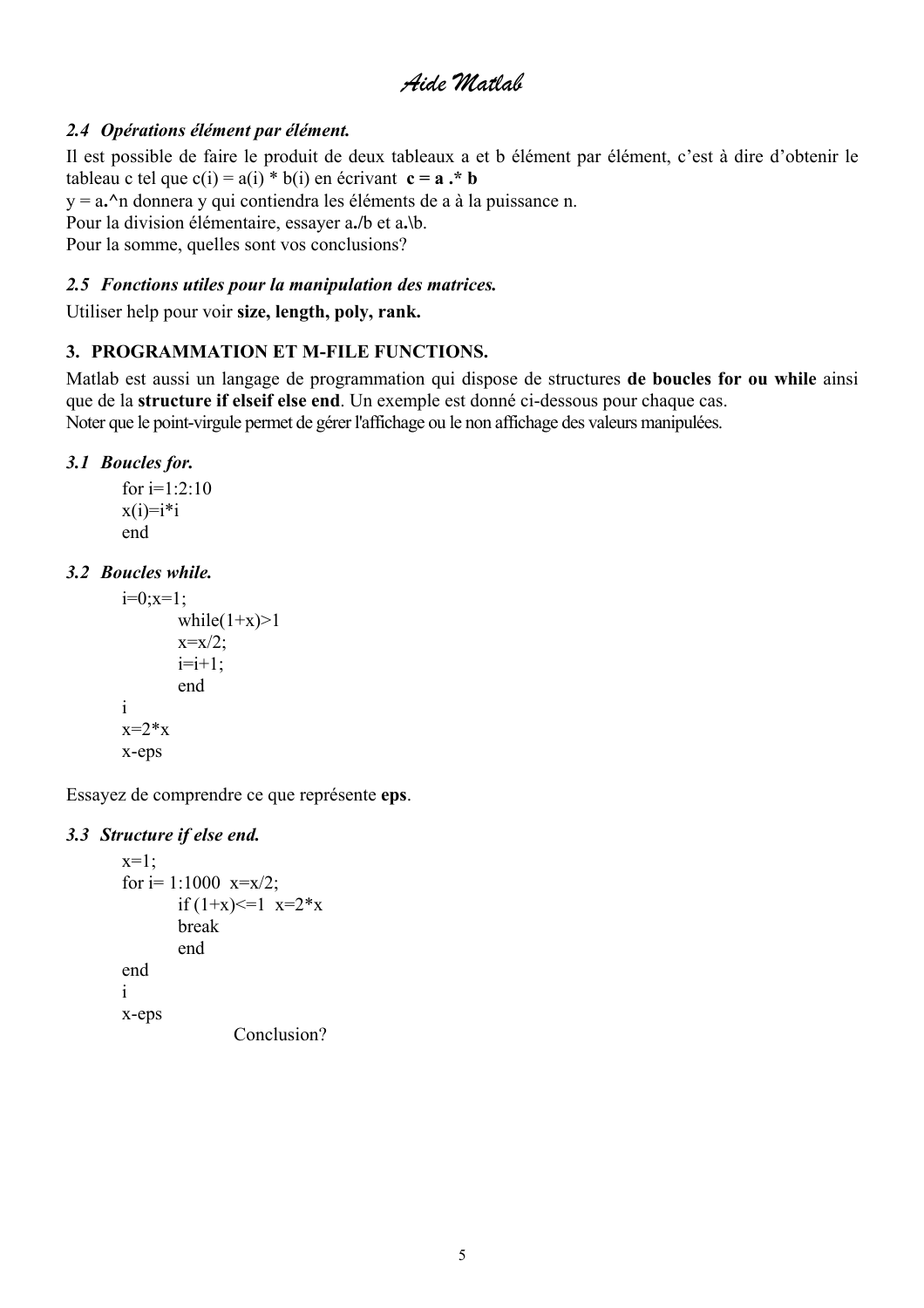### <span id="page-4-0"></span>*2.4 Opérations élément par élément.*

Il est possible de faire le produit de deux tableaux a et b élément par élément, c'est à dire d'obtenir le tableau c tel que  $c(i) = a(i) * b(i)$  en écrivant  $c = a * b$ y = a**.^**n donnera y qui contiendra les éléments de a à la puissance n. Pour la division élémentaire, essayer a**./**b et a**.\**b. Pour la somme, quelles sont vos conclusions?

## *2.5 Fonctions utiles pour la manipulation des matrices.*

Utiliser help pour voir **size, length, poly, rank.** 

### **3. PROGRAMMATION ET M-FILE FUNCTIONS.**

Matlab est aussi un langage de programmation qui dispose de structures **de boucles for ou while** ainsi que de la **structure if elseif else end**. Un exemple est donné ci-dessous pour chaque cas. Noter que le point-virgule permet de gérer l'affichage ou le non affichage des valeurs manipulées.

### *3.1 Boucles for.*

for  $i=1:2:10$  $x(i)=i'i$ end

### *3.2 Boucles while.*

```
i=0; x=1;while(1+x)>1
       x=x/2;
       i=i+1;
       end 
i 
x=2*xx-eps
```
Essayez de comprendre ce que représente **eps**.

### *3.3 Structure if else end.*

```
x=1:
for i=1:1000 x=x/2;
       if (1+x) \leq 1 x=2*x
       break 
       end 
end 
i 
x-eps 
               Conclusion?
```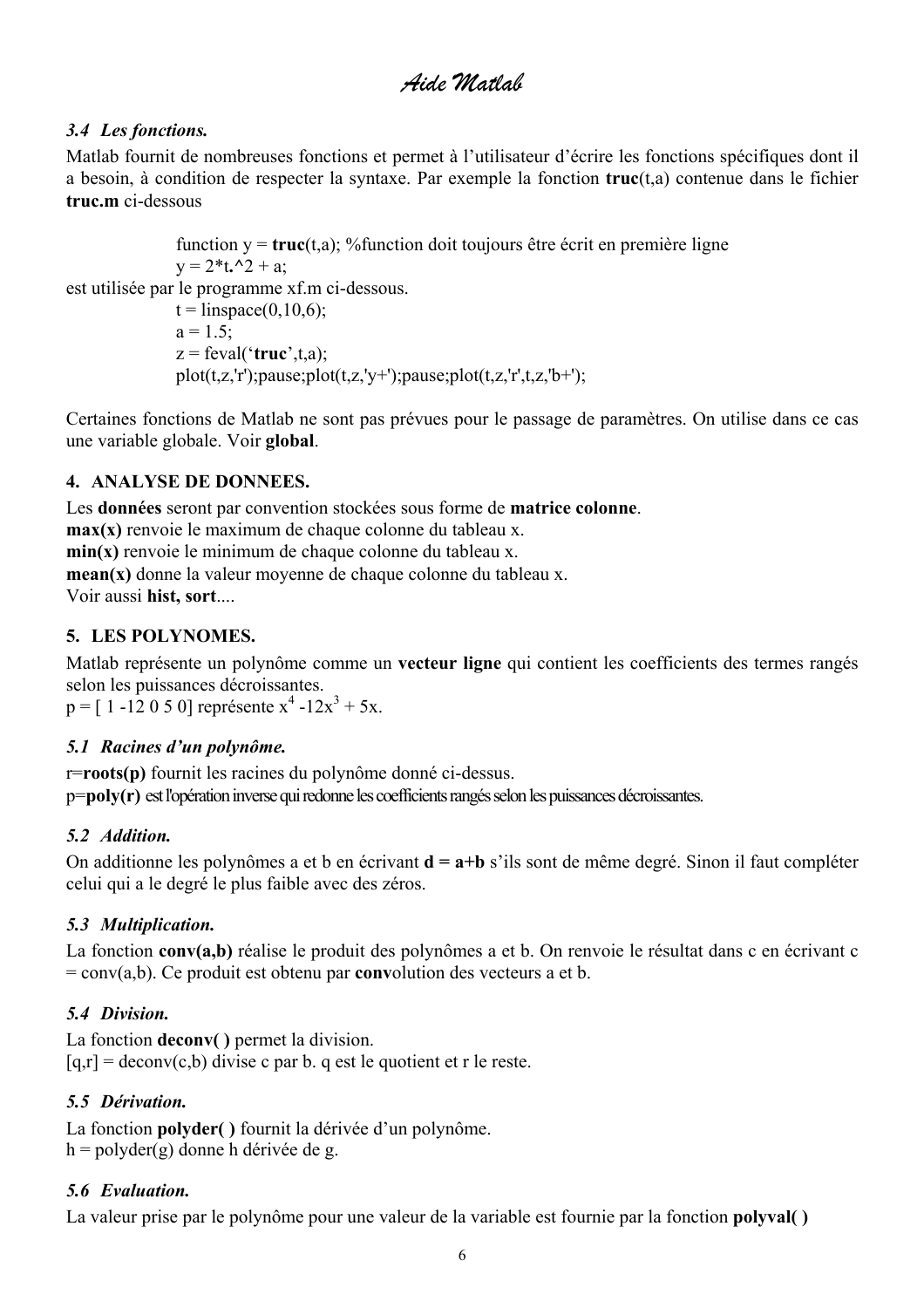### <span id="page-5-0"></span>*3.4 Les fonctions.*

Matlab fournit de nombreuses fonctions et permet à l'utilisateur d'écrire les fonctions spécifiques dont il a besoin, à condition de respecter la syntaxe. Par exemple la fonction **truc**(t,a) contenue dans le fichier **truc.m** ci-dessous

function  $y = \text{true}(t, a)$ ; % function doit toujours être écrit en première ligne  $y = 2*t.2 + a$ ; est utilisée par le programme xf.m ci-dessous.  $t =$ linspace(0,10,6);  $a = 1.5$ ;  $z = \text{fewal}('true', t, a);$  $plot(t, z, 'r'); pause; plot(t, z, 'v+)$ ;pause;plot(t,z,'r',t,z,'b+');

Certaines fonctions de Matlab ne sont pas prévues pour le passage de paramètres. On utilise dans ce cas une variable globale. Voir **global**.

### **4. ANALYSE DE DONNEES.**

Les **données** seront par convention stockées sous forme de **matrice colonne**.

**max(x)** renvoie le maximum de chaque colonne du tableau x.

**min(x)** renvoie le minimum de chaque colonne du tableau x.

**mean(x)** donne la valeur moyenne de chaque colonne du tableau x.

Voir aussi **hist, sort**....

### **5. LES POLYNOMES.**

Matlab représente un polynôme comme un **vecteur ligne** qui contient les coefficients des termes rangés selon les puissances décroissantes.

 $p = [1 -12050]$  représente  $x^4 -12x^3 + 5x$ .

### *5.1 Racines d'un polynôme.*

r=**roots(p)** fournit les racines du polynôme donné ci-dessus. p=**poly(r)** est l'opération inverse qui redonne les coefficients rangés selon les puissances décroissantes.

### *5.2 Addition.*

On additionne les polynômes a et b en écrivant **d = a+b** s'ils sont de même degré. Sinon il faut compléter celui qui a le degré le plus faible avec des zéros.

### *5.3 Multiplication.*

La fonction **conv(a,b)** réalise le produit des polynômes a et b. On renvoie le résultat dans c en écrivant c = conv(a,b). Ce produit est obtenu par **conv**olution des vecteurs a et b.

### *5.4 Division.*

La fonction **deconv( )** permet la division.  $[q,r] = deconv(c,b)$  divise c par b. q est le quotient et r le reste.

### *5.5 Dérivation.*

La fonction **polyder( )** fournit la dérivée d'un polynôme.  $h = polyder(g)$  donne h dérivée de g.

### *5.6 Evaluation.*

La valeur prise par le polynôme pour une valeur de la variable est fournie par la fonction **polyval( )**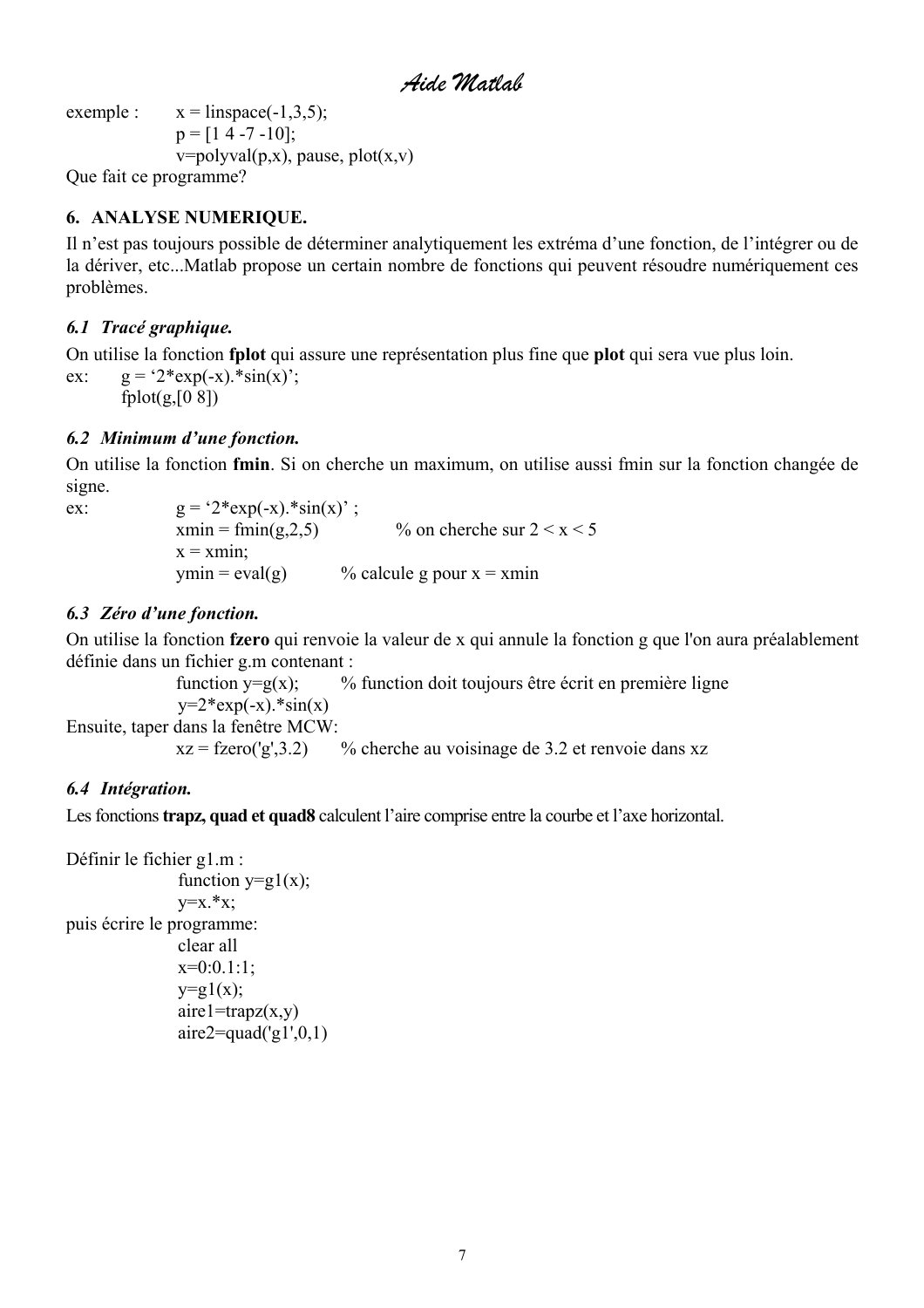*Aide Matlab* 

<span id="page-6-0"></span>exemple :  $x = \text{linspace}(-1, 3, 5)$ ;  $p = [1 4 - 7 - 10]$ ;  $v = polyval(p, x)$ , pause, plot $(x, v)$ Que fait ce programme?

### **6. ANALYSE NUMERIQUE.**

Il n'est pas toujours possible de déterminer analytiquement les extréma d'une fonction, de l'intégrer ou de la dériver, etc...Matlab propose un certain nombre de fonctions qui peuvent résoudre numériquement ces problèmes.

### *6.1 Tracé graphique.*

On utilise la fonction **fplot** qui assure une représentation plus fine que **plot** qui sera vue plus loin.

ex:  $g = '2*exp(-x).*sin(x)$ ; fplot $(g,[0 \ 8])$ 

### *6.2 Minimum d'une fonction.*

On utilise la fonction **fmin**. Si on cherche un maximum, on utilise aussi fmin sur la fonction changée de signe.

ex:  $g = '2*exp(-x).*sin(x)$  $xmin = fmin(g, 2, 5)$  % on cherche sur  $2 < x < 5$  $x = xmin$ ;  $ymin = eval(g)$  % calcule g pour  $x = xmin$ 

### *6.3 Zéro d'une fonction.*

On utilise la fonction **fzero** qui renvoie la valeur de x qui annule la fonction g que l'on aura préalablement définie dans un fichier g.m contenant :

function  $y=g(x)$ ; % function doit toujours être écrit en première ligne  $y=2*exp(-x).*sin(x)$ Ensuite, taper dans la fenêtre MCW:

 $xz = fzero(y, 3.2)$  % cherche au voisinage de 3.2 et renvoie dans xz

### *6.4 Intégration.*

Les fonctions **trapz, quad et quad8** calculent l'aire comprise entre la courbe et l'axe horizontal.

```
Définir le fichier g1.m : 
               function y=g1(x);
               y=x.*x;puis écrire le programme: 
               clear all 
               x=0:0.1:1;
               y=g1(x);aire1 = trapz(x,y)aire2=quad(g1',0,1)
```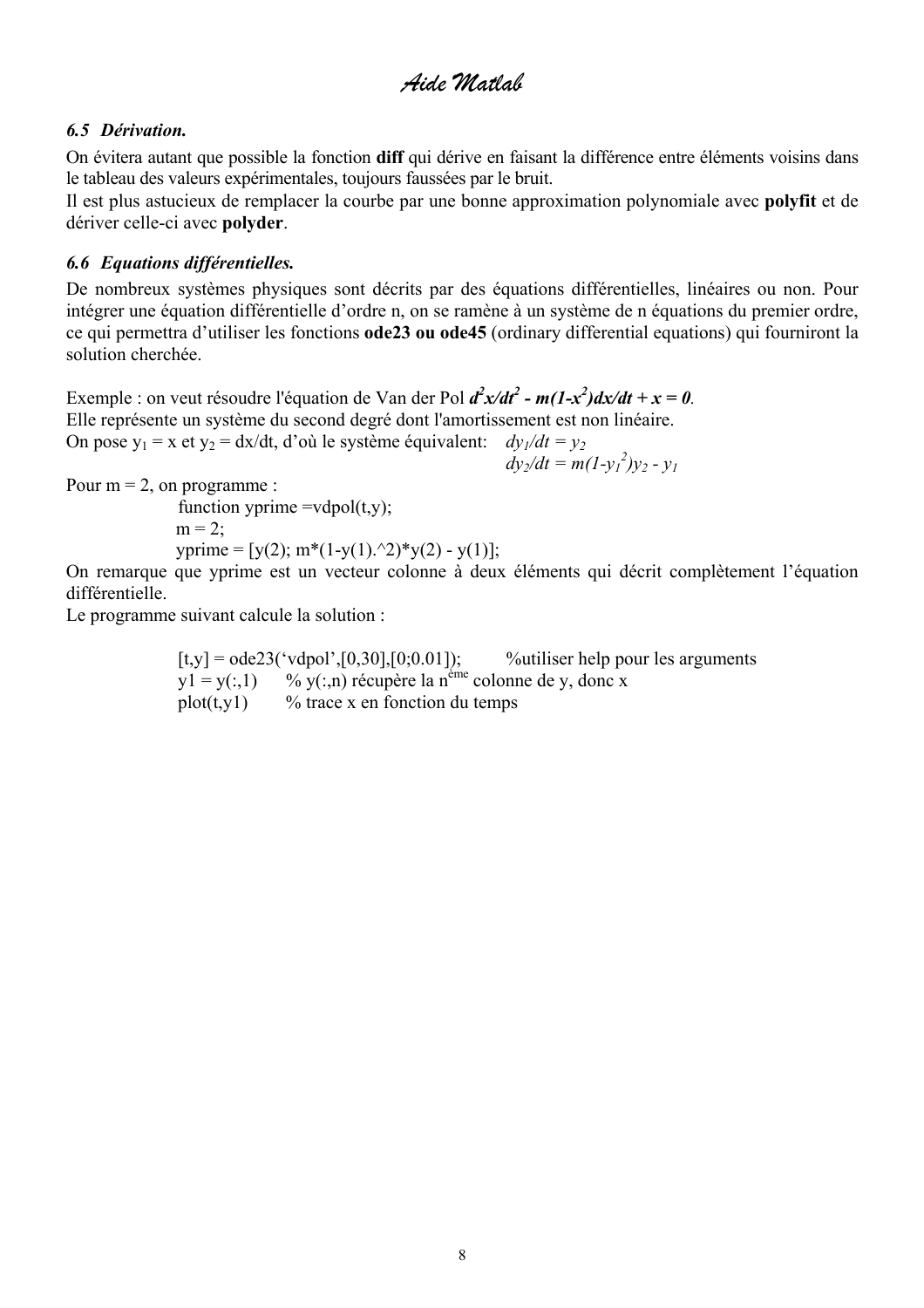### <span id="page-7-0"></span>*6.5 Dérivation.*

On évitera autant que possible la fonction **diff** qui dérive en faisant la différence entre éléments voisins dans le tableau des valeurs expérimentales, toujours faussées par le bruit.

Il est plus astucieux de remplacer la courbe par une bonne approximation polynomiale avec **polyfit** et de dériver celle-ci avec **polyder**.

### *6.6 Equations différentielles.*

De nombreux systèmes physiques sont décrits par des équations différentielles, linéaires ou non. Pour intégrer une équation différentielle d'ordre n, on se ramène à un système de n équations du premier ordre, ce qui permettra d'utiliser les fonctions **ode23 ou ode45** (ordinary differential equations) qui fourniront la solution cherchée.

Exemple : on veut résoudre l'équation de Van der Pol  $d^2x/dt^2$  -  $m(1-x^2)dx/dt + x = 0$ . Elle représente un système du second degré dont l'amortissement est non linéaire. On pose  $y_1 = x$  et  $y_2 = dx/dt$ , d'où le système équivalent:  $dy_1/dt = y_2$ *dy<sub>2</sub>/dt = m(1-y<sub>1</sub><sup>2</sup>)y<sub>2</sub> - y<sub>1</sub>* 

Pour  $m = 2$ , on programme :

function yprime =vdpol(t,v);  $m = 2$ : yprime =  $[y(2); m*(1-y(1).^2)*y(2) - y(1)];$ 

On remarque que yprime est un vecteur colonne à deux éléments qui décrit complètement l'équation différentielle.

Le programme suivant calcule la solution :

 $[t, y] = ode23('vdpol', [0, 30], [0, 0.01])$ ; %utiliser help pour les arguments  $y1 = y(:,1)$  %  $y(:,n)$  récupère la n<sup>ême</sup> colonne de y, donc x plot(t,y1) % trace x en fonction du temps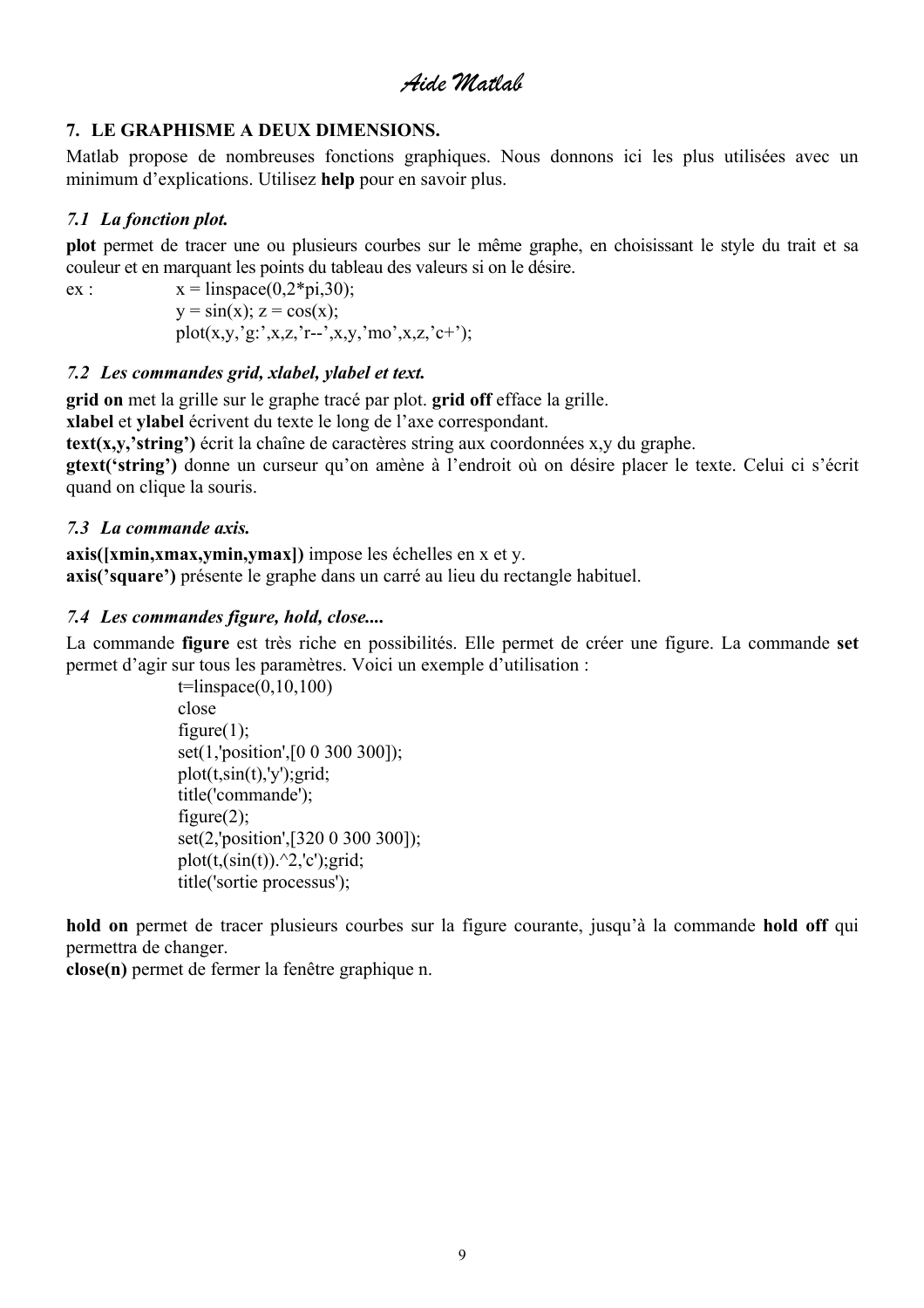### <span id="page-8-0"></span>**7. LE GRAPHISME A DEUX DIMENSIONS.**

Matlab propose de nombreuses fonctions graphiques. Nous donnons ici les plus utilisées avec un minimum d'explications. Utilisez **help** pour en savoir plus.

### *7.1 La fonction plot.*

**plot** permet de tracer une ou plusieurs courbes sur le même graphe, en choisissant le style du trait et sa couleur et en marquant les points du tableau des valeurs si on le désire.

ex :  $x = \text{linspace}(0.2 \cdot \text{pi}, 30)$ ;  $y = sin(x); z = cos(x);$ plot(x,y,'g:',x,z,'r--',x,y,'mo',x,z,'c+');

### *7.2 Les commandes grid, xlabel, ylabel et text.*

**grid on** met la grille sur le graphe tracé par plot. **grid off** efface la grille.

**xlabel** et **ylabel** écrivent du texte le long de l'axe correspondant.

**text(x,y,'string')** écrit la chaîne de caractères string aux coordonnées x,y du graphe.

**gtext('string')** donne un curseur qu'on amène à l'endroit où on désire placer le texte. Celui ci s'écrit quand on clique la souris.

### *7.3 La commande axis.*

**axis([xmin,xmax,ymin,ymax])** impose les échelles en x et y. **axis('square')** présente le graphe dans un carré au lieu du rectangle habituel.

### *7.4 Les commandes figure, hold, close....*

La commande **figure** est très riche en possibilités. Elle permet de créer une figure. La commande **set** permet d'agir sur tous les paramètres. Voici un exemple d'utilisation :

> $t=linspace(0,10,100)$ close figure $(1)$ ; set(1,'position',[0 0 300 300]);  $plot(t,sin(t), 'y'); grid;$ title('commande'); figure $(2)$ ; set(2,'position',[320 0 300 300]); plot(t, $(\sin(t))$ .^2,'c');grid; title('sortie processus');

**hold on** permet de tracer plusieurs courbes sur la figure courante, jusqu'à la commande **hold off** qui permettra de changer.

**close(n)** permet de fermer la fenêtre graphique n.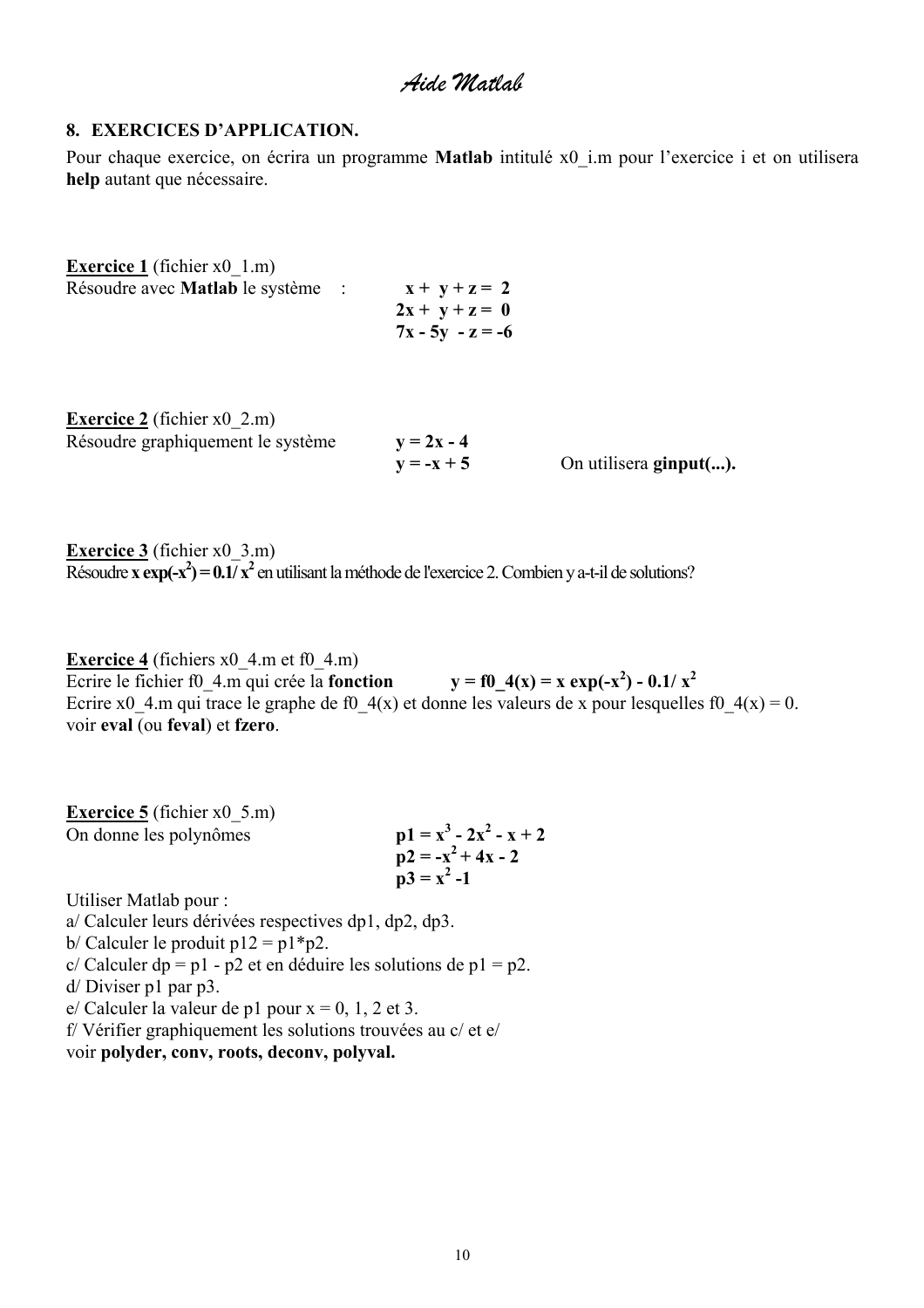#### <span id="page-9-0"></span>**8. EXERCICES D'APPLICATION.**

Pour chaque exercice, on écrira un programme **Matlab** intitulé x0\_i.m pour l'exercice i et on utilisera **help** autant que nécessaire.

| <b>Exercice 1</b> (fichier $x0 \, 1 \,$ m) |                                                           |
|--------------------------------------------|-----------------------------------------------------------|
| Résoudre avec <b>Matlab</b> le système     | $x + y + z = 2$<br>$2x + y + z = 0$<br>$7x - 5y - z = -6$ |
|                                            |                                                           |

| <b>Exercice 2</b> (fichier $x0$ 2.m) |              |                        |
|--------------------------------------|--------------|------------------------|
| Résoudre graphiquement le système    | $y = 2x - 4$ |                        |
|                                      | $y = -x + 5$ | On utilisera ginput(). |

**Exercice 3** (fichier x0 3.m)  $R$ ésoudre **x** exp $(-x^2) = 0.1/x^2$  en utilisant la méthode de l'exercice 2. Combien y a-t-il de solutions?

**Exercice 4** (fichiers  $x0$  4.m et f0 4.m) Ecrire le fichier f0\_4.m qui crée la **fonction**  $y = f0_4(x) = x \exp(-x^2) - 0.1/x^2$ Ecrire x0\_4.m qui trace le graphe de f0\_4(x) et donne les valeurs de x pour lesquelles f0\_4(x) = 0. voir **eval** (ou **feval**) et **fzero**.

**Exercice 5** (fichier x0 5.m) On donne les polynômes  $-2x^2 - x + 2$  $\mathbf{p2} = -\mathbf{x}^2 + 4\mathbf{x} - 2$  $\mathbf{p3} = \mathbf{x}^2 - 1$ 

Utiliser Matlab pour :

a/ Calculer leurs dérivées respectives dp1, dp2, dp3.

b/ Calculer le produit  $p12 = p1*p2$ .

 $c/Calculer dp = p1 - p2$  et en déduire les solutions de p1 = p2.

d/ Diviser p1 par p3.

e/ Calculer la valeur de p1 pour  $x = 0$ , 1, 2 et 3.

f/ Vérifier graphiquement les solutions trouvées au c/ et e/

voir **polyder, conv, roots, deconv, polyval.**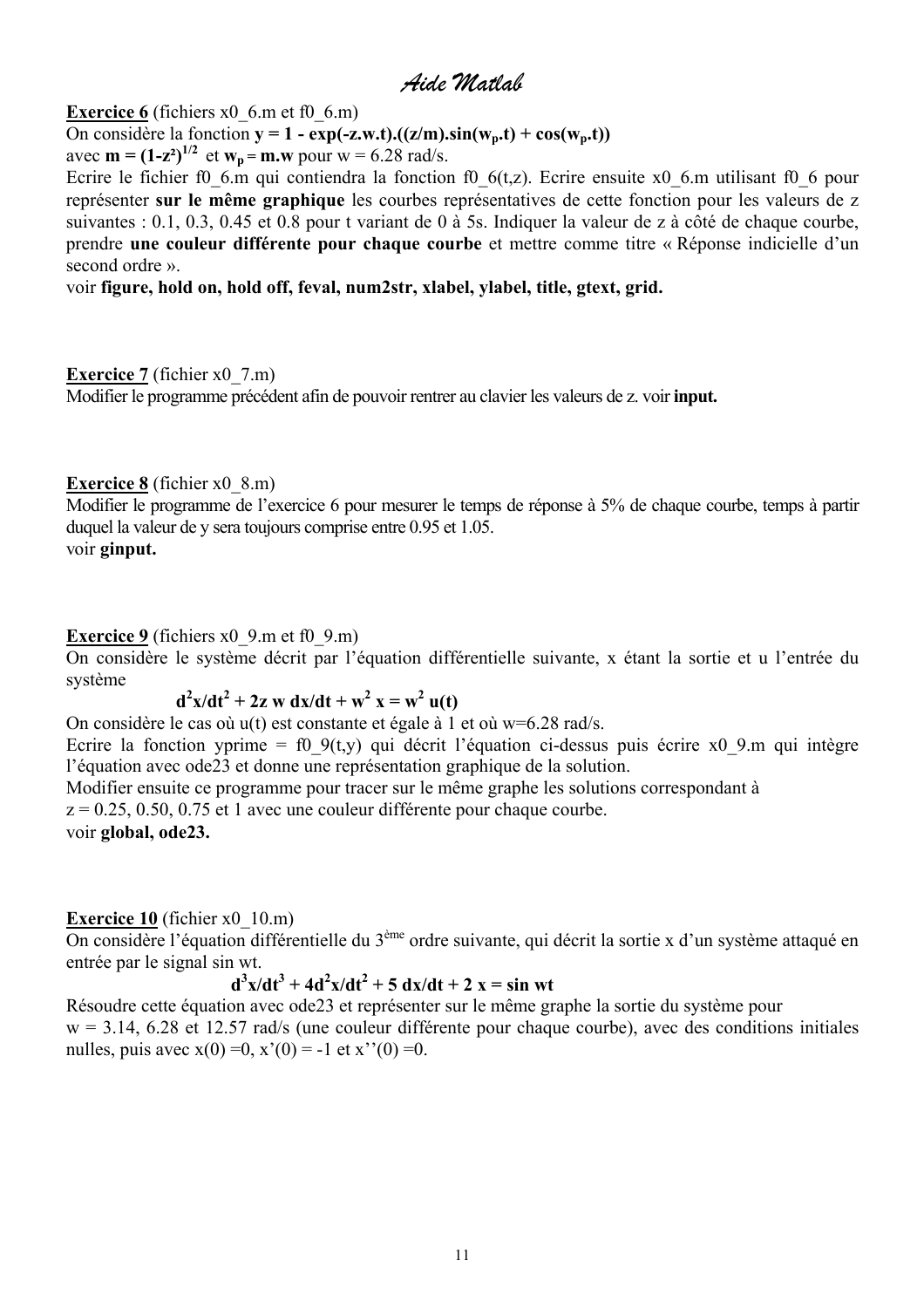**Exercice 6** (fichiers x0  $6$ .m et f0  $6$ .m)

On considère la fonction  $y = 1 - exp(-z.w.t)$ . $((z/m).sin(w_n.t) + cos(w_n.t))$ 

avec  $m = (1-z^2)^{1/2}$  et  $w_p = m$ . we pour  $w = 6.28$  rad/s.

Ecrire le fichier f0\_6.m qui contiendra la fonction f0\_6(t,z). Ecrire ensuite x0\_6.m utilisant f0\_6 pour représenter **sur le même graphique** les courbes représentatives de cette fonction pour les valeurs de z suivantes : 0.1, 0.3, 0.45 et 0.8 pour t variant de 0 à 5s. Indiquer la valeur de z à côté de chaque courbe, prendre **une couleur différente pour chaque courbe** et mettre comme titre « Réponse indicielle d'un second ordre ».

#### voir **figure, hold on, hold off, feval, num2str, xlabel, ylabel, title, gtext, grid.**

#### **Exercice 7** (fichier x0 7.m)

Modifier le programme précédent afin de pouvoir rentrer au clavier les valeurs de z. voir **input.**

### **Exercice 8** (fichier x0  $8 \text{ m}$ )

Modifier le programme de l'exercice 6 pour mesurer le temps de réponse à 5% de chaque courbe, temps à partir duquel la valeur de y sera toujours comprise entre 0.95 et 1.05. voir **ginput.** 

#### **Exercice 9** (fichiers x0 9.m et f0 9.m)

On considère le système décrit par l'équation différentielle suivante, x étant la sortie et u l'entrée du système

**d**<sup>2</sup>**x**/**dt**<sup>2</sup> + 2**z** w **dx**/**dt** + **w**<sup>2</sup>**x** = **w**<sup>2</sup>**u(t)** 

On considère le cas où u(t) est constante et égale à 1 et où w=6.28 rad/s. Ecrire la fonction yprime = f0  $9(t,y)$  qui décrit l'équation ci-dessus puis écrire x0 9.m qui intègre l'équation avec ode23 et donne une représentation graphique de la solution. Modifier ensuite ce programme pour tracer sur le même graphe les solutions correspondant à

 $z = 0.25, 0.50, 0.75$  et 1 avec une couleur différente pour chaque courbe. voir **global, ode23.**

### **Exercice 10** (fichier x0 10.m)

On considère l'équation différentielle du 3ème ordre suivante, qui décrit la sortie x d'un système attaqué en entrée par le signal sin wt.

#### **d**<sup>3</sup>  $x/dt^3 + 4d^2x/dt^2 + 5 dx/dt + 2 x = \sin wt$

Résoudre cette équation avec ode23 et représenter sur le même graphe la sortie du système pour  $w = 3.14$ , 6.28 et 12.57 rad/s (une couleur différente pour chaque courbe), avec des conditions initiales nulles, puis avec  $x(0) = 0$ ,  $x'(0) = -1$  et  $x''(0) = 0$ .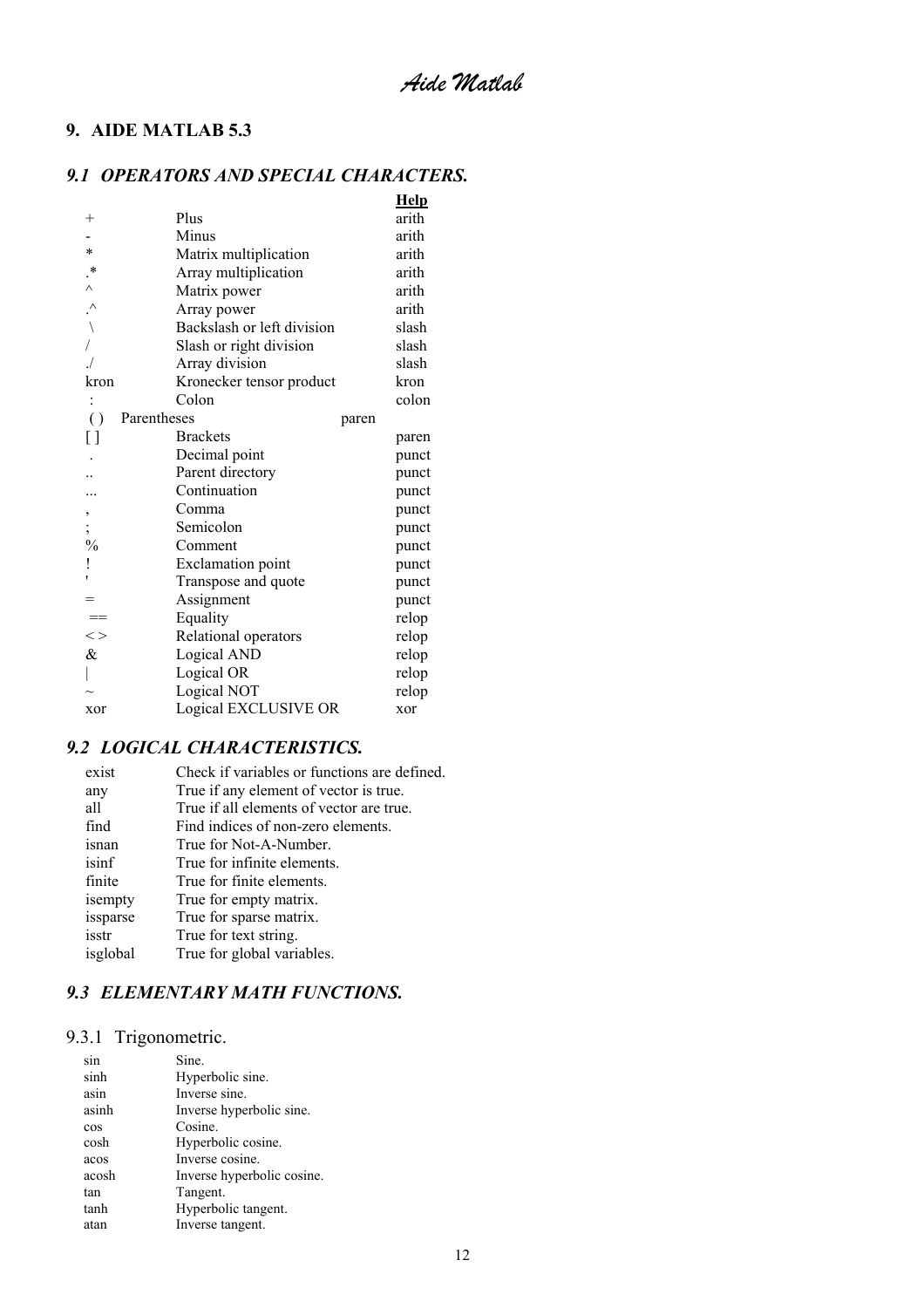### <span id="page-11-0"></span>**9. AIDE MATLAB 5.3**

### *9.1 OPERATORS AND SPECIAL CHARACTERS.*

|                                       |                            | <b>Help</b> |  |
|---------------------------------------|----------------------------|-------------|--|
| $^{+}$                                | Plus                       | arith       |  |
|                                       | Minus                      | arith       |  |
| $\ast$                                | Matrix multiplication      | arith       |  |
| $\cdot^*$                             | Array multiplication       | arith       |  |
| $\wedge$                              | Matrix power               | arith       |  |
| $\cdot^{\wedge}$                      | Array power                | arith       |  |
| $\left.\rule{0pt}{10pt}\right\rangle$ | Backslash or left division | slash       |  |
|                                       | Slash or right division    | slash       |  |
|                                       | Array division             | slash       |  |
| kron                                  | Kronecker tensor product   | kron        |  |
|                                       | Colon                      | colon       |  |
| $\left( \right)$                      | Parentheses                | paren       |  |
| []                                    | <b>Brackets</b>            | paren       |  |
|                                       | Decimal point              | punct       |  |
|                                       | Parent directory           | punct       |  |
|                                       | Continuation               | punct       |  |
| ,                                     | Comma                      | punct       |  |
| $\frac{1}{2}$ , $\frac{1}{2}$         | Semicolon                  | punct       |  |
|                                       | Comment                    | punct       |  |
| ļ                                     | <b>Exclamation</b> point   | punct       |  |
| ł.                                    | Transpose and quote        | punct       |  |
| $=$                                   | Assignment                 | punct       |  |
|                                       | Equality                   | relop       |  |
| $\lt$                                 | Relational operators       | relop       |  |
| $\&$                                  | Logical AND                | relop       |  |
|                                       | Logical OR                 | relop       |  |
|                                       | Logical NOT                | relop       |  |
| xor                                   | Logical EXCLUSIVE OR       | xor         |  |

### *9.2 LOGICAL CHARACTERISTICS.*

| exist    | Check if variables or functions are defined. |
|----------|----------------------------------------------|
| any      | True if any element of vector is true.       |
| all      | True if all elements of vector are true.     |
| find     | Find indices of non-zero elements.           |
| isnan    | True for Not-A-Number.                       |
| isinf    | True for infinite elements.                  |
| finite   | True for finite elements.                    |
| isempty  | True for empty matrix.                       |
| issparse | True for sparse matrix.                      |
| isstr    | True for text string.                        |
| isglobal | True for global variables.                   |

### *9.3 ELEMENTARY MATH FUNCTIONS.*

# 9.3.1 Trigonometric.

| sin   | Sine.                      |
|-------|----------------------------|
| sinh  | Hyperbolic sine.           |
| asin  | Inverse sine.              |
| asinh | Inverse hyperbolic sine.   |
| cos   | Cosine.                    |
| cosh  | Hyperbolic cosine.         |
| acos  | Inverse cosine.            |
| acosh | Inverse hyperbolic cosine. |
| tan   | Tangent.                   |
| tanh  | Hyperbolic tangent.        |
| atan  | Inverse tangent.           |
|       |                            |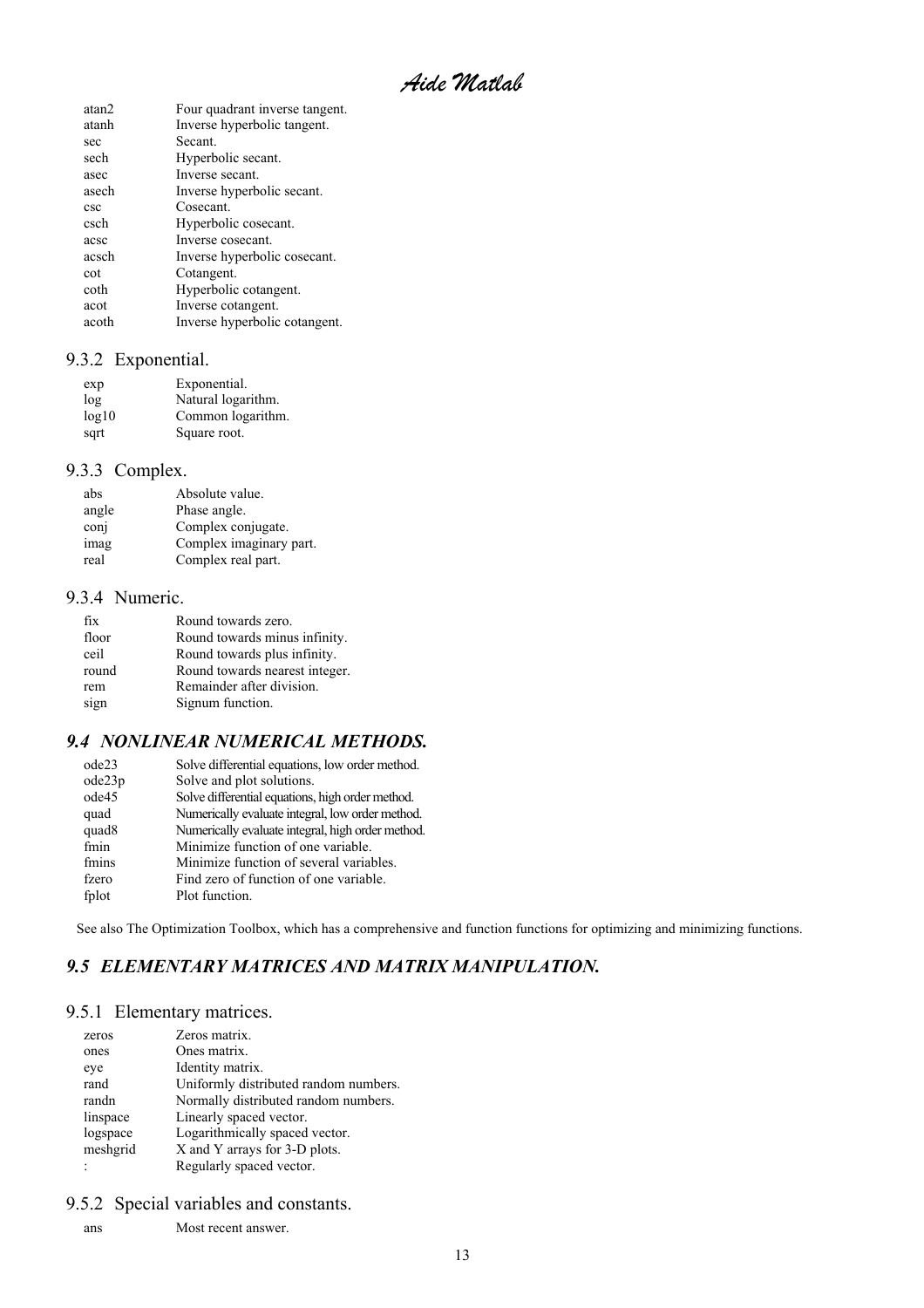*Aide Matlab* 

<span id="page-12-0"></span>

| atan <sub>2</sub> | Four quadrant inverse tangent. |
|-------------------|--------------------------------|
| atanh             | Inverse hyperbolic tangent.    |
| sec               | Secant                         |
| sech              | Hyperbolic secant.             |
| asec              | Inverse secant.                |
| asech             | Inverse hyperbolic secant.     |
| csc               | Cosecant                       |
| csch              | Hyperbolic cosecant.           |
| acsc              | Inverse cosecant.              |
| acsch             | Inverse hyperbolic cosecant.   |
| cot               | Cotangent.                     |
| coth              | Hyperbolic cotangent.          |
| acot              | Inverse cotangent.             |
| acoth             | Inverse hyperbolic cotangent.  |
|                   |                                |

### 9.3.2 Exponential.

| exp   | Exponential.       |
|-------|--------------------|
| log   | Natural logarithm. |
| log10 | Common logarithm.  |
| sqrt  | Square root.       |

### 9.3.3 Complex.

| abs   | Absolute value.         |
|-------|-------------------------|
| angle | Phase angle.            |
| conj  | Complex conjugate.      |
| imag  | Complex imaginary part. |
| real  | Complex real part.      |

#### 9.3.4 Numeric.

| Round towards zero.            |
|--------------------------------|
| Round towards minus infinity.  |
| Round towards plus infinity.   |
| Round towards nearest integer. |
| Remainder after division.      |
| Signum function.               |
|                                |

### *9.4 NONLINEAR NUMERICAL METHODS.*

| ode23             | Solve differential equations, low order method.   |
|-------------------|---------------------------------------------------|
| ode23p            | Solve and plot solutions.                         |
| ode45             | Solve differential equations, high order method.  |
| quad              | Numerically evaluate integral, low order method.  |
| quad <sub>8</sub> | Numerically evaluate integral, high order method. |
| fmin              | Minimize function of one variable.                |
| fmins             | Minimize function of several variables.           |
| fzero             | Find zero of function of one variable.            |
| fplot             | Plot function.                                    |
|                   |                                                   |

See also The Optimization Toolbox, which has a comprehensive and function functions for optimizing and minimizing functions.

### *9.5 ELEMENTARY MATRICES AND MATRIX MANIPULATION.*

#### 9.5.1 Elementary matrices.

| zeros    | Zeros matrix.                         |
|----------|---------------------------------------|
| ones     | Ones matrix.                          |
| eye      | Identity matrix.                      |
| rand     | Uniformly distributed random numbers. |
| randn    | Normally distributed random numbers.  |
| linspace | Linearly spaced vector.               |
| logspace | Logarithmically spaced vector.        |
| meshgrid | X and Y arrays for 3-D plots.         |
| :        | Regularly spaced vector.              |
|          |                                       |

### 9.5.2 Special variables and constants.

ans Most recent answer.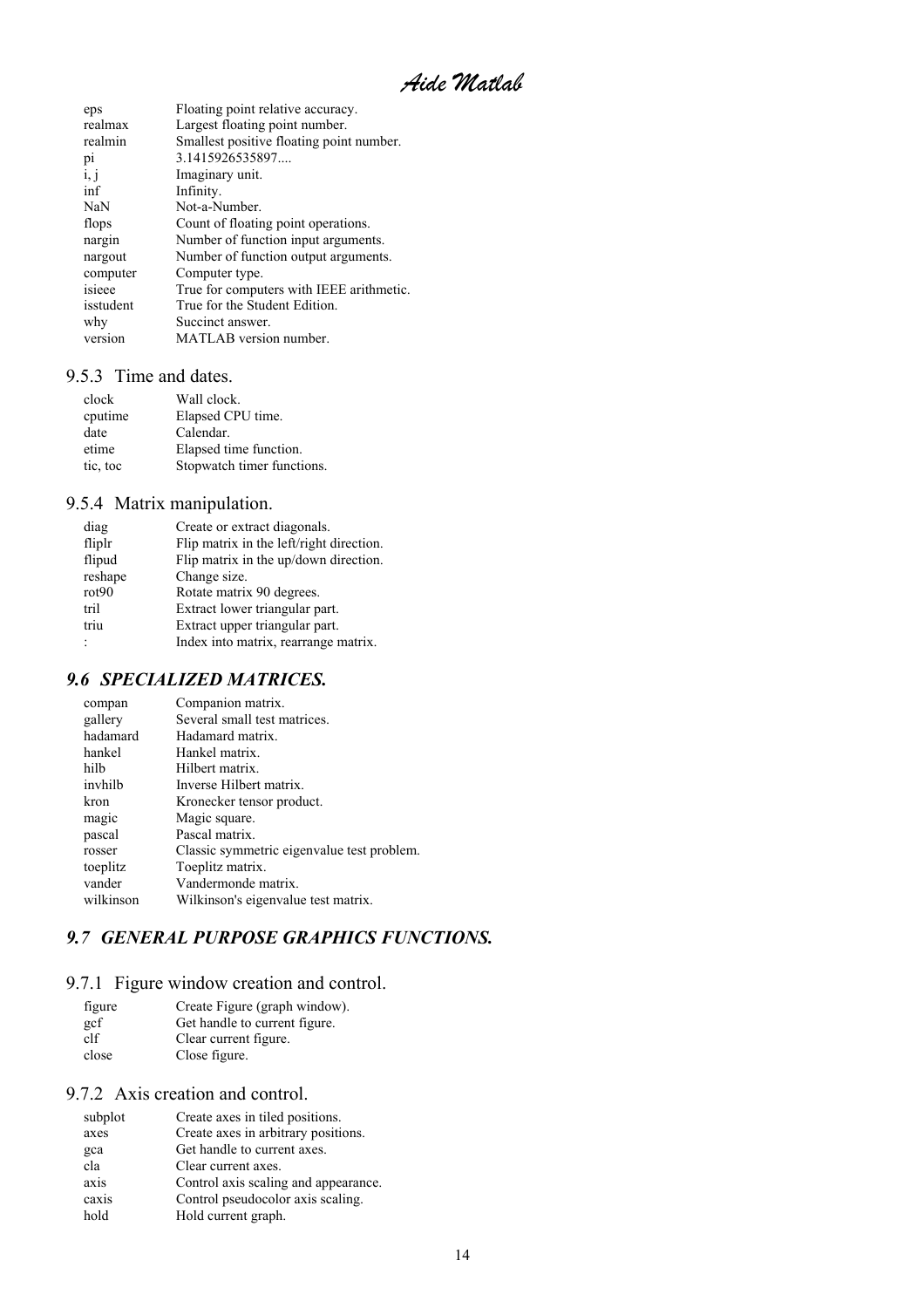*Aide Matlab* 

<span id="page-13-0"></span>

| eps            | Floating point relative accuracy.        |
|----------------|------------------------------------------|
| realmax        | Largest floating point number.           |
| realmin        | Smallest positive floating point number. |
| p <sub>1</sub> | 3.1415926535897                          |
| i, j           | Imaginary unit.                          |
| inf            | Infinity.                                |
| NaN            | Not-a-Number.                            |
| flops          | Count of floating point operations.      |
| nargin         | Number of function input arguments.      |
| nargout        | Number of function output arguments.     |
| computer       | Computer type.                           |
| isieee         | True for computers with IEEE arithmetic. |
| isstudent      | True for the Student Edition.            |
| why            | Succinct answer.                         |
| version        | MATLAB version number.                   |
|                |                                          |

#### 9.5.3 Time and dates.

| clock    | Wall clock.                |
|----------|----------------------------|
| cputime  | Elapsed CPU time.          |
| date     | Calendar.                  |
| etime    | Elapsed time function.     |
| tic, toc | Stopwatch timer functions. |

### 9.5.4 Matrix manipulation.

| diag              | Create or extract diagonals.             |
|-------------------|------------------------------------------|
| fliplr            | Flip matrix in the left/right direction. |
| flipud            | Flip matrix in the up/down direction.    |
| reshape           | Change size.                             |
| rot <sub>90</sub> | Rotate matrix 90 degrees.                |
| tril              | Extract lower triangular part.           |
| triu              | Extract upper triangular part.           |
| $\vdots$          | Index into matrix, rearrange matrix.     |

### *9.6 SPECIALIZED MATRICES.*

| compan    | Companion matrix.                          |
|-----------|--------------------------------------------|
| gallery   | Several small test matrices.               |
| hadamard  | Hadamard matrix.                           |
| hankel    | Hankel matrix.                             |
| hilb      | Hilbert matrix.                            |
| invhilb   | Inverse Hilbert matrix.                    |
| kron      | Kronecker tensor product.                  |
| magic     | Magic square.                              |
| pascal    | Pascal matrix.                             |
| rosser    | Classic symmetric eigenvalue test problem. |
| toeplitz  | Toeplitz matrix.                           |
| vander    | Vandermonde matrix.                        |
| wilkinson | Wilkinson's eigenvalue test matrix.        |
|           |                                            |

### *9.7 GENERAL PURPOSE GRAPHICS FUNCTIONS.*

### 9.7.1 Figure window creation and control.

| figure | Create Figure (graph window). |
|--------|-------------------------------|
| gcf    | Get handle to current figure. |
| clf    | Clear current figure.         |
| close  | Close figure.                 |

#### 9.7.2 Axis creation and control.

| subplot | Create axes in tiled positions.      |
|---------|--------------------------------------|
| axes    | Create axes in arbitrary positions.  |
| gca     | Get handle to current axes.          |
| cla     | Clear current axes.                  |
| axis    | Control axis scaling and appearance. |
| caxis   | Control pseudocolor axis scaling.    |
| hold    | Hold current graph.                  |
|         |                                      |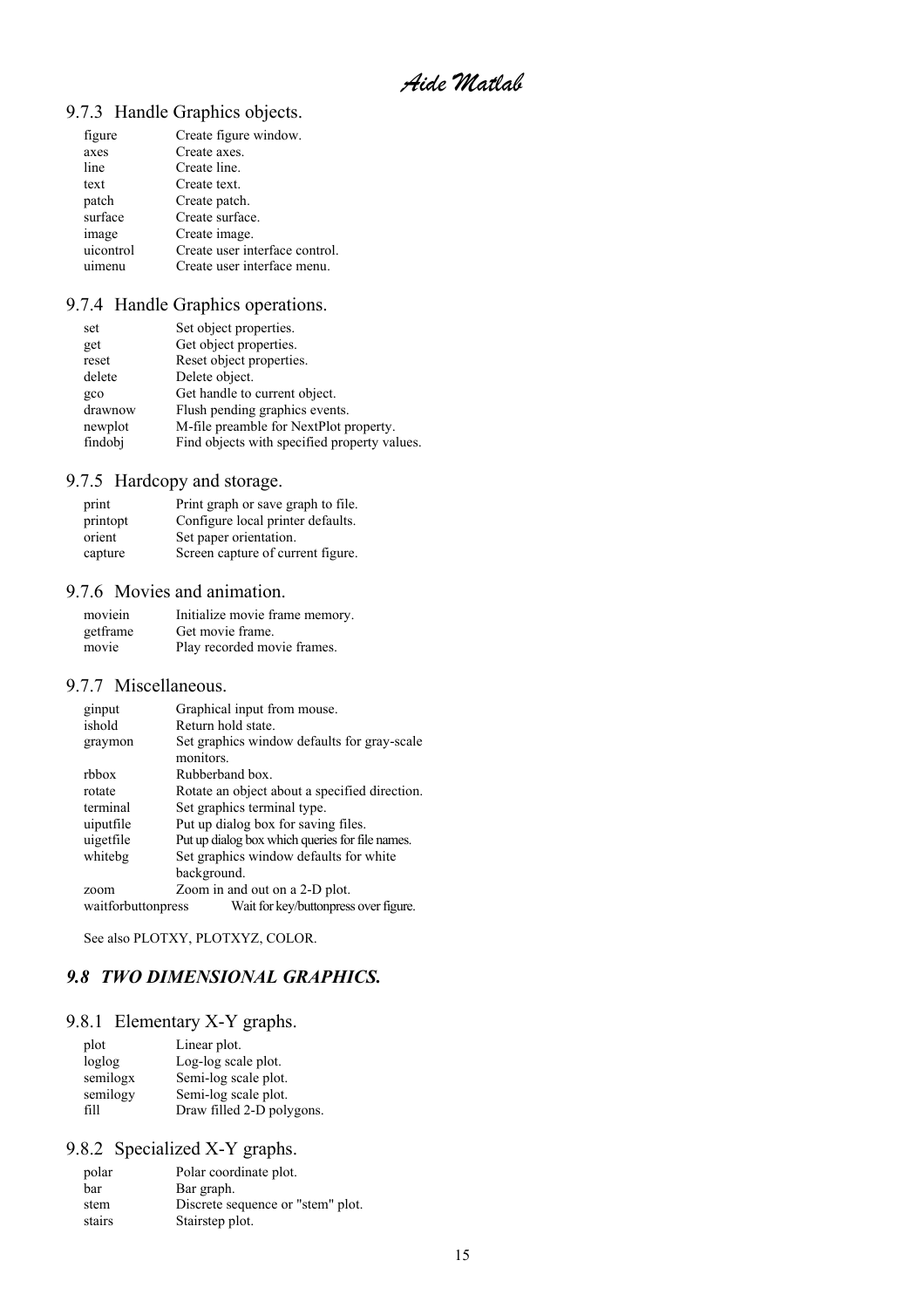*Aide Matlab* 

### <span id="page-14-0"></span>9.7.3 Handle Graphics objects.

| figure    | Create figure window.          |
|-----------|--------------------------------|
| axes      | Create axes.                   |
| line      | Create line.                   |
| text      | Create text.                   |
| patch     | Create patch.                  |
| surface   | Create surface.                |
| image     | Create image.                  |
| uicontrol | Create user interface control. |
| uimenu    | Create user interface menu.    |
|           |                                |

### 9.7.4 Handle Graphics operations.

| set     | Set object properties.                       |
|---------|----------------------------------------------|
| get     | Get object properties.                       |
| reset   | Reset object properties.                     |
| delete  | Delete object.                               |
| gco     | Get handle to current object.                |
| drawnow | Flush pending graphics events.               |
| newplot | M-file preamble for NextPlot property.       |
| findobj | Find objects with specified property values. |

### 9.7.5 Hardcopy and storage.

| print    | Print graph or save graph to file. |
|----------|------------------------------------|
| printopt | Configure local printer defaults.  |
| orient   | Set paper orientation.             |
| capture  | Screen capture of current figure.  |

#### 9.7.6 Movies and animation.

| moviein  | Initialize movie frame memory. |
|----------|--------------------------------|
| getframe | Get movie frame.               |
| movie    | Play recorded movie frames.    |

#### 9.7.7 Miscellaneous.

| ginput             | Graphical input from mouse.                     |
|--------------------|-------------------------------------------------|
| ishold             | Return hold state.                              |
| graymon            | Set graphics window defaults for gray-scale     |
|                    | monitors.                                       |
| rbbox              | Rubberband box.                                 |
| rotate             | Rotate an object about a specified direction.   |
| terminal           | Set graphics terminal type.                     |
| uiputfile          | Put up dialog box for saving files.             |
| uigetfile          | Put up dialog box which queries for file names. |
| whitebg            | Set graphics window defaults for white          |
|                    | background.                                     |
| zoom               | Zoom in and out on a 2-D plot.                  |
| waitforbuttonpress | Wait for key/buttonpress over figure.           |
|                    |                                                 |

See also PLOTXY, PLOTXYZ, COLOR.

### *9.8 TWO DIMENSIONAL GRAPHICS.*

### 9.8.1 Elementary X-Y graphs.

| plot     | Linear plot.              |
|----------|---------------------------|
| loglog   | Log-log scale plot.       |
| semilogx | Semi-log scale plot.      |
| semilogy | Semi-log scale plot.      |
| fill     | Draw filled 2-D polygons. |

#### 9.8.2 Specialized X-Y graphs.

| polar  | Polar coordinate plot.            |
|--------|-----------------------------------|
| bar    | Bar graph.                        |
| stem   | Discrete sequence or "stem" plot. |
| stairs | Stairstep plot.                   |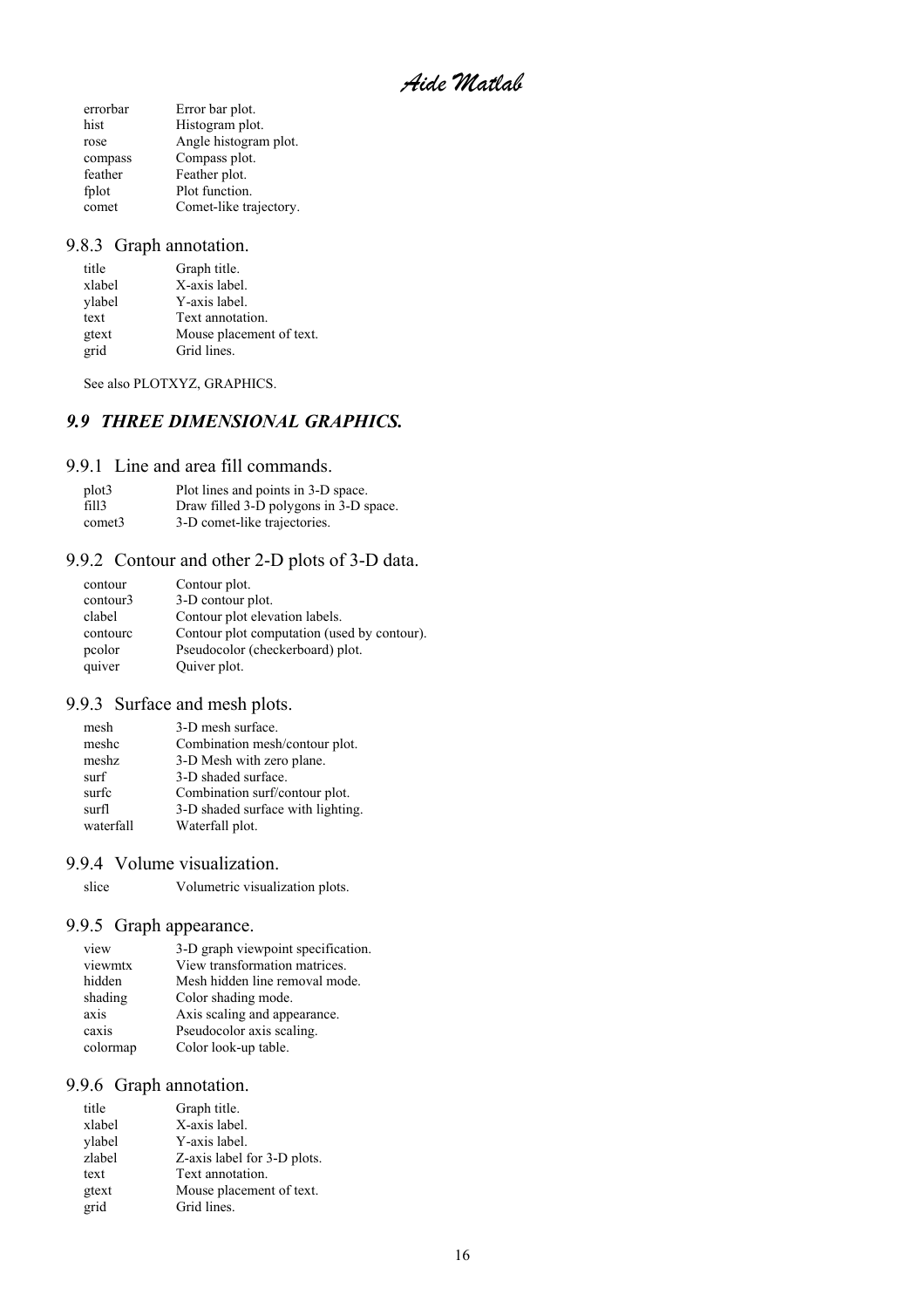*Aide Matlab* 

<span id="page-15-0"></span>

| Error bar plot.        |
|------------------------|
| Histogram plot.        |
| Angle histogram plot.  |
| Compass plot.          |
| Feather plot.          |
| Plot function.         |
| Comet-like trajectory. |
|                        |

#### 9.8.3 Graph annotation.

| Graph title.             |
|--------------------------|
| X-axis label.            |
| Y-axis label.            |
| Text annotation.         |
| Mouse placement of text. |
| Grid lines.              |
|                          |

See also PLOTXYZ, GRAPHICS.

### *9.9 THREE DIMENSIONAL GRAPHICS.*

#### 9.9.1 Line and area fill commands.

| plot <sub>3</sub>  | Plot lines and points in 3-D space.    |
|--------------------|----------------------------------------|
| fill3              | Draw filled 3-D polygons in 3-D space. |
| comet <sub>3</sub> | 3-D comet-like trajectories.           |

### 9.9.2 Contour and other 2-D plots of 3-D data.

| contour  | Contour plot.                               |
|----------|---------------------------------------------|
| contour3 | 3-D contour plot.                           |
| clabel   | Contour plot elevation labels.              |
| contourc | Contour plot computation (used by contour). |
| pcolor   | Pseudocolor (checkerboard) plot.            |
| quiver   | Quiver plot.                                |

#### 9.9.3 Surface and mesh plots.

| mesh      | 3-D mesh surface.                 |
|-----------|-----------------------------------|
| meshc     | Combination mesh/contour plot.    |
| meshz     | 3-D Mesh with zero plane.         |
| surf      | 3-D shaded surface.               |
| surfc     | Combination surf/contour plot.    |
| surfl     | 3-D shaded surface with lighting. |
| waterfall | Waterfall plot.                   |
|           |                                   |

#### 9.9.4 Volume visualization.

slice Volumetric visualization plots.

#### 9.9.5 Graph appearance.

| view     | 3-D graph viewpoint specification. |
|----------|------------------------------------|
| viewmtx  | View transformation matrices.      |
| hidden   | Mesh hidden line removal mode.     |
| shading  | Color shading mode.                |
| axis     | Axis scaling and appearance.       |
| caxis    | Pseudocolor axis scaling.          |
| colormap | Color look-up table.               |
|          |                                    |

### 9.9.6 Graph annotation.

| title  | Graph title.                |
|--------|-----------------------------|
| xlabel | X-axis label.               |
| ylabel | Y-axis label.               |
| zlabel | Z-axis label for 3-D plots. |
| text   | Text annotation.            |
| gtext  | Mouse placement of text.    |
| grid   | Grid lines.                 |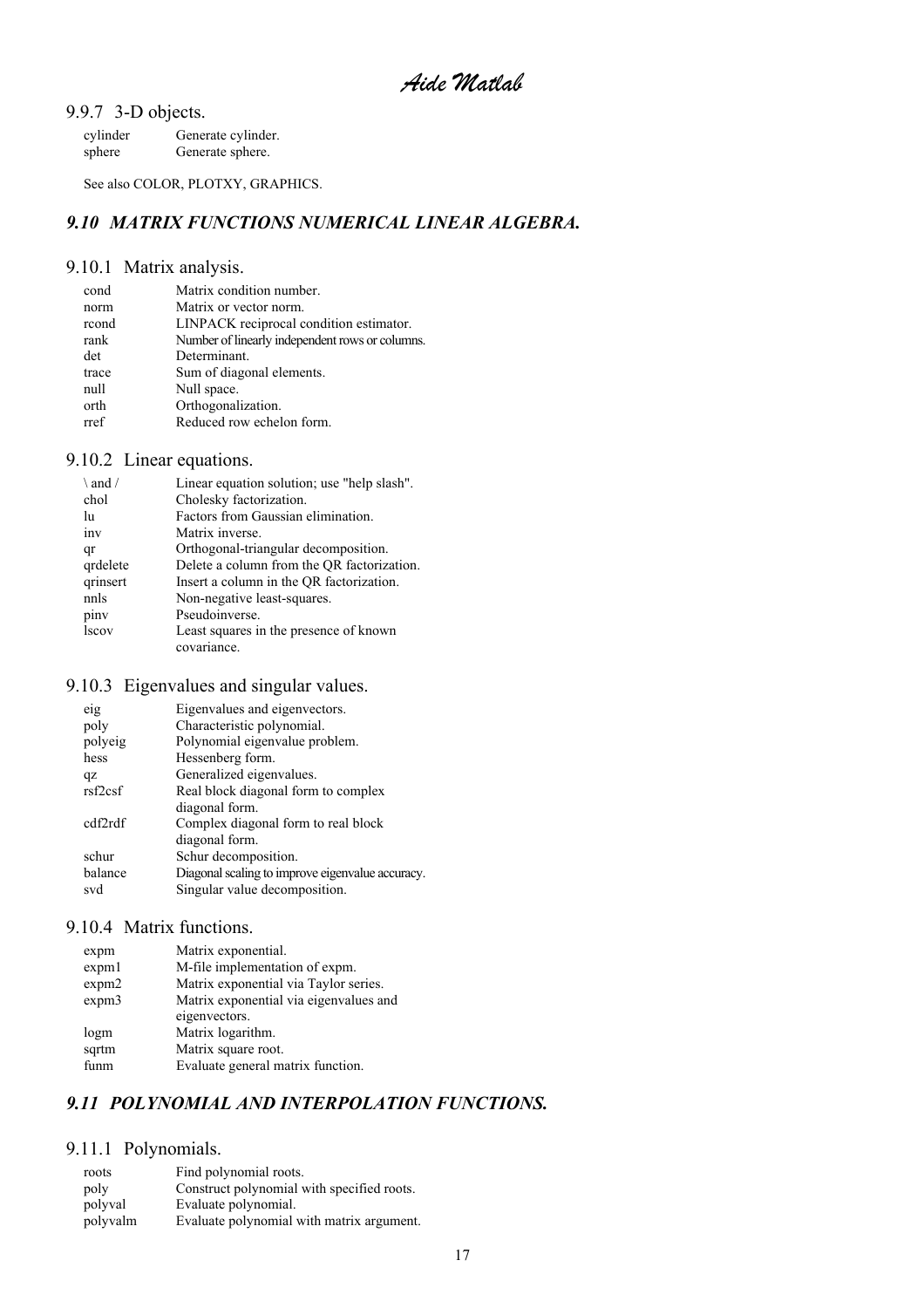<span id="page-16-0"></span>9.9.7 3-D objects.

| cylinder | Generate cylinder. |
|----------|--------------------|
| sphere   | Generate sphere.   |

See also COLOR, PLOTXY, GRAPHICS.

### *9.10 MATRIX FUNCTIONS NUMERICAL LINEAR ALGEBRA.*

### 9.10.1 Matrix analysis.

| cond  | Matrix condition number.                        |
|-------|-------------------------------------------------|
| norm  | Matrix or vector norm.                          |
| rcond | LINPACK reciprocal condition estimator.         |
| rank  | Number of linearly independent rows or columns. |
| det   | Determinant.                                    |
| trace | Sum of diagonal elements.                       |
| null  | Null space.                                     |
| orth  | Orthogonalization.                              |
| rref  | Reduced row echelon form.                       |
|       |                                                 |

### 9.10.2 Linear equations.

| $\lambda$ and / | Linear equation solution; use "help slash". |
|-----------------|---------------------------------------------|
| chol            | Cholesky factorization.                     |
| lu              | Factors from Gaussian elimination.          |
| inv             | Matrix inverse.                             |
| qr              | Orthogonal-triangular decomposition.        |
| qrdelete        | Delete a column from the QR factorization.  |
| qrinsert        | Insert a column in the QR factorization.    |
| nnls            | Non-negative least-squares.                 |
| piny            | Pseudoinverse.                              |
| <b>lscov</b>    | Least squares in the presence of known      |
|                 | covariance.                                 |

### 9.10.3 Eigenvalues and singular values.

| eig     | Eigenvalues and eigenvectors.                    |
|---------|--------------------------------------------------|
| poly    | Characteristic polynomial.                       |
| polyeig | Polynomial eigenvalue problem.                   |
| hess    | Hessenberg form.                                 |
| qz      | Generalized eigenvalues.                         |
| rsf2csf | Real block diagonal form to complex              |
|         | diagonal form.                                   |
| cdf2rdf | Complex diagonal form to real block              |
|         | diagonal form.                                   |
| schur   | Schur decomposition.                             |
| balance | Diagonal scaling to improve eigenvalue accuracy. |
| svd     | Singular value decomposition.                    |
|         |                                                  |

#### 9.10.4 Matrix functions.

| expm  | Matrix exponential.                    |
|-------|----------------------------------------|
| expm1 | M-file implementation of expm.         |
| expm2 | Matrix exponential via Taylor series.  |
| expm3 | Matrix exponential via eigenvalues and |
|       | eigenvectors.                          |
| logm  | Matrix logarithm.                      |
| sqrtm | Matrix square root.                    |
| funm  | Evaluate general matrix function.      |

### *9.11 POLYNOMIAL AND INTERPOLATION FUNCTIONS.*

#### 9.11.1 Polynomials.

| roots    | Find polynomial roots.                     |
|----------|--------------------------------------------|
| poly     | Construct polynomial with specified roots. |
| polyval  | Evaluate polynomial.                       |
| polyvalm | Evaluate polynomial with matrix argument.  |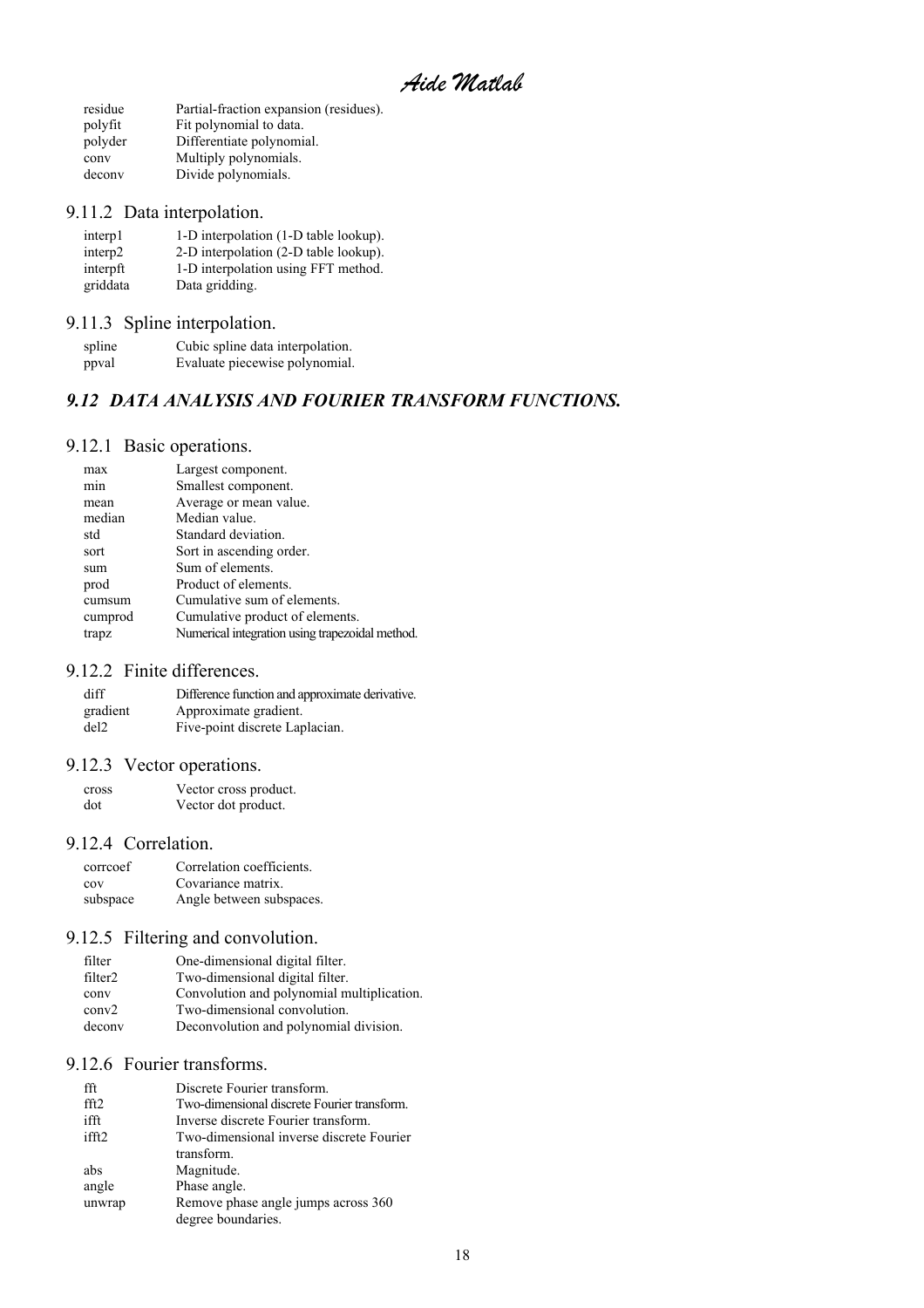*Aide Matlab* 

<span id="page-17-0"></span>

| residue | Partial-fraction expansion (residues). |
|---------|----------------------------------------|
| polyfit | Fit polynomial to data.                |
| polyder | Differentiate polynomial.              |
| conv    | Multiply polynomials.                  |
| deconv  | Divide polynomials.                    |

### 9.11.2 Data interpolation.

| interp1             | 1-D interpolation (1-D table lookup). |
|---------------------|---------------------------------------|
| interp <sub>2</sub> | 2-D interpolation (2-D table lookup). |
| interpft            | 1-D interpolation using FFT method.   |
| griddata            | Data gridding.                        |

# 9.11.3 Spline interpolation.

| spline | Cubic spline data interpolation. |
|--------|----------------------------------|
| ppval  | Evaluate piecewise polynomial.   |

### *9.12 DATA ANALYSIS AND FOURIER TRANSFORM FUNCTIONS.*

### 9.12.1 Basic operations.

| max              | Largest component.                              |
|------------------|-------------------------------------------------|
| m <sub>1</sub> n | Smallest component.                             |
| mean             | Average or mean value.                          |
| median           | Median value.                                   |
| std              | Standard deviation.                             |
| sort             | Sort in ascending order.                        |
| sum              | Sum of elements.                                |
| prod             | Product of elements.                            |
| cumsum           | Cumulative sum of elements.                     |
| cumprod          | Cumulative product of elements.                 |
| trapz            | Numerical integration using trapezoidal method. |
|                  |                                                 |

### 9.12.2 Finite differences.

| diff     | Difference function and approximate derivative. |
|----------|-------------------------------------------------|
| gradient | Approximate gradient.                           |
| del2     | Five-point discrete Laplacian.                  |

### 9.12.3 Vector operations.

| cross | Vector cross product. |
|-------|-----------------------|
| dot   | Vector dot product.   |

### 9.12.4 Correlation.

| correcoef | Correlation coefficients. |
|-----------|---------------------------|
| COV       | Covariance matrix.        |
| subspace  | Angle between subspaces.  |

### 9.12.5 Filtering and convolution.

| filter              | One-dimensional digital filter.            |
|---------------------|--------------------------------------------|
| filter <sub>2</sub> | Two-dimensional digital filter.            |
| conv                | Convolution and polynomial multiplication. |
| conv2               | Two-dimensional convolution.               |
| deconv              | Deconvolution and polynomial division.     |

### 9.12.6 Fourier transforms.

| fft               | Discrete Fourier transform.                 |
|-------------------|---------------------------------------------|
| fft2              | Two-dimensional discrete Fourier transform. |
| ifft              | Inverse discrete Fourier transform.         |
| ifft <sub>2</sub> | Two-dimensional inverse discrete Fourier    |
|                   | transform.                                  |
| abs               | Magnitude.                                  |
| angle             | Phase angle.                                |
| unwrap            | Remove phase angle jumps across 360         |
|                   | degree boundaries.                          |
|                   |                                             |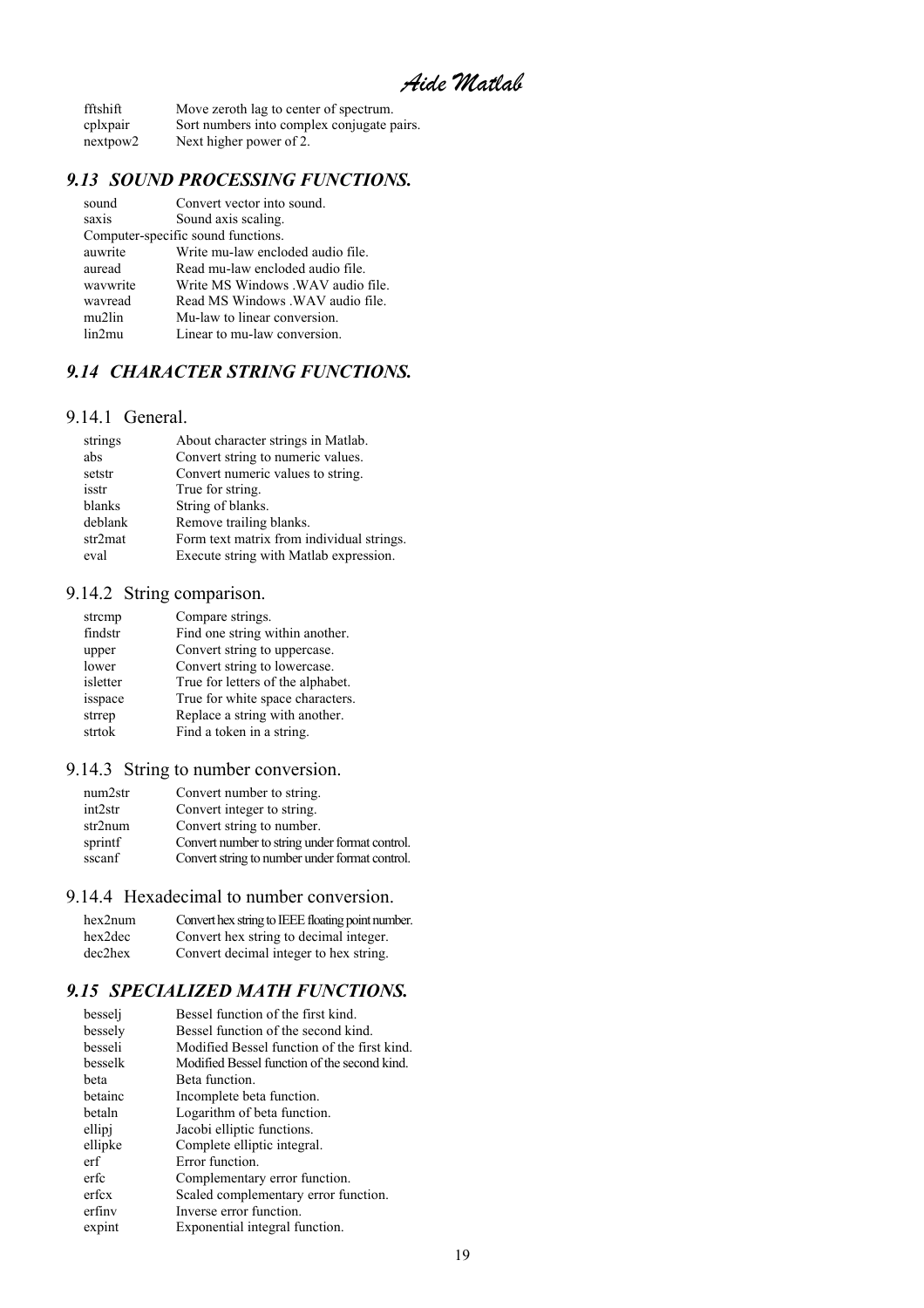<span id="page-18-0"></span>

| fftshift             | Move zeroth lag to center of spectrum.     |
|----------------------|--------------------------------------------|
| cplxpair             | Sort numbers into complex conjugate pairs. |
| nextpow <sub>2</sub> | Next higher power of 2.                    |

### *9.13 SOUND PROCESSING FUNCTIONS.*

| Write MS Windows .WAV audio file. |
|-----------------------------------|
| Read MS Windows . WAV audio file. |
|                                   |
|                                   |
|                                   |

### *9.14 CHARACTER STRING FUNCTIONS.*

#### 9.14.1 General.

| strings | About character strings in Matlab.        |
|---------|-------------------------------------------|
| abs     | Convert string to numeric values.         |
| setstr  | Convert numeric values to string.         |
| isstr   | True for string.                          |
| blanks  | String of blanks.                         |
| deblank | Remove trailing blanks.                   |
| str2mat | Form text matrix from individual strings. |
| eval    | Execute string with Matlab expression.    |

### 9.14.2 String comparison.

| strcmp   | Compare strings.                  |
|----------|-----------------------------------|
| findstr  | Find one string within another.   |
| upper    | Convert string to uppercase.      |
| lower    | Convert string to lowercase.      |
| isletter | True for letters of the alphabet. |
| isspace  | True for white space characters.  |
| strrep   | Replace a string with another.    |
| strtok   | Find a token in a string.         |
|          |                                   |

### 9.14.3 String to number conversion.

| num2str              | Convert number to string.                      |
|----------------------|------------------------------------------------|
| int <sub>2</sub> str | Convert integer to string.                     |
| str2num              | Convert string to number.                      |
| sprintf              | Convert number to string under format control. |
| sscanf               | Convert string to number under format control. |

### 9.14.4 Hexadecimal to number conversion.

| hex2num    | Convert hex string to IEEE floating point number. |
|------------|---------------------------------------------------|
| hex2dec    | Convert hex string to decimal integer.            |
| $dec2$ hex | Convert decimal integer to hex string.            |

#### *9.15 SPECIALIZED MATH FUNCTIONS.*

| besseli | Bessel function of the first kind.           |
|---------|----------------------------------------------|
| bessely | Bessel function of the second kind.          |
| besseli | Modified Bessel function of the first kind.  |
| besselk | Modified Bessel function of the second kind. |
| beta    | Beta function.                               |
| betainc | Incomplete beta function.                    |
| betaln  | Logarithm of beta function.                  |
| ellipj  | Jacobi elliptic functions.                   |
| ellipke | Complete elliptic integral.                  |
| erf     | Error function                               |
| erfc    | Complementary error function.                |
| erfcx   | Scaled complementary error function.         |
| erfinv  | Inverse error function.                      |
| expint  | Exponential integral function.               |
|         |                                              |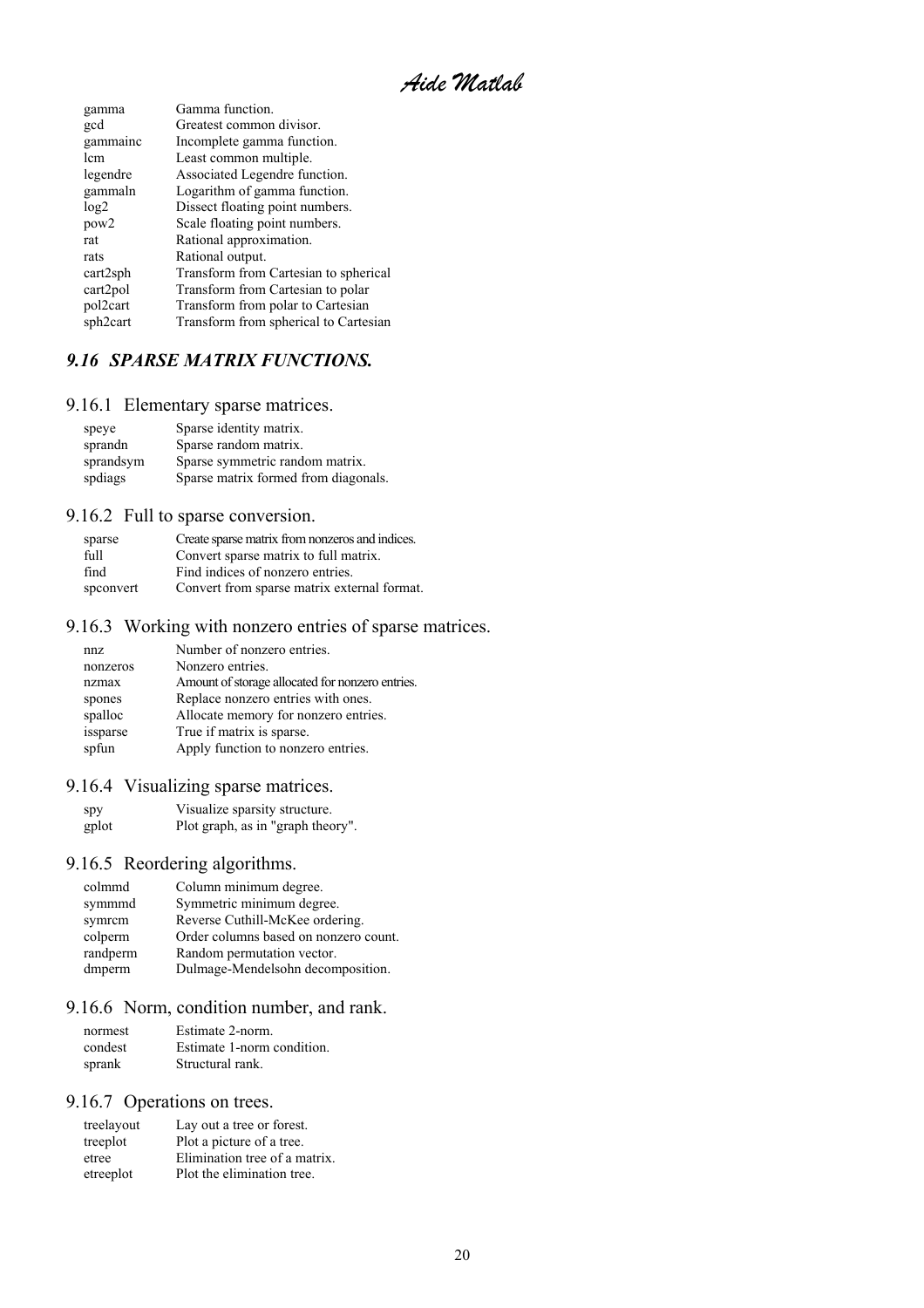*Aide Matlab* 

<span id="page-19-0"></span>

| gamma            | Gamma function.                       |
|------------------|---------------------------------------|
| gcd              | Greatest common divisor.              |
| gammainc         | Incomplete gamma function.            |
| lem              | Least common multiple.                |
| legendre         | Associated Legendre function.         |
| gammaln          | Logarithm of gamma function.          |
| log2             | Dissect floating point numbers.       |
| pow <sub>2</sub> | Scale floating point numbers.         |
| rat              | Rational approximation.               |
| rats             | Rational output.                      |
| cart2sph         | Transform from Cartesian to spherical |
| cart2pol         | Transform from Cartesian to polar     |
| pol2cart         | Transform from polar to Cartesian     |
| sph2cart         | Transform from spherical to Cartesian |
|                  |                                       |

### *9.16 SPARSE MATRIX FUNCTIONS.*

9.16.1 Elementary sparse matrices.

| speye     | Sparse identity matrix.              |
|-----------|--------------------------------------|
| sprandn   | Sparse random matrix.                |
| sprandsym | Sparse symmetric random matrix.      |
| spdiags   | Sparse matrix formed from diagonals. |

### 9.16.2 Full to sparse conversion.

| sparse          | Create sparse matrix from nonzeros and indices. |
|-----------------|-------------------------------------------------|
| f <sub>11</sub> | Convert sparse matrix to full matrix.           |
| find            | Find indices of nonzero entries.                |
| spconvert       | Convert from sparse matrix external format.     |

### 9.16.3 Working with nonzero entries of sparse matrices.

| Amount of storage allocated for nonzero entries. |
|--------------------------------------------------|
|                                                  |
|                                                  |
|                                                  |
|                                                  |
|                                                  |

### 9.16.4 Visualizing sparse matrices.

| spy   | Visualize sparsity structure.     |
|-------|-----------------------------------|
| gplot | Plot graph, as in "graph theory". |

### 9.16.5 Reordering algorithms.

| colmmd   | Column minimum degree.                |
|----------|---------------------------------------|
| symmmd   | Symmetric minimum degree.             |
| symrcm   | Reverse Cuthill-McKee ordering.       |
| colperm  | Order columns based on nonzero count. |
| randperm | Random permutation vector.            |
| dmperm   | Dulmage-Mendelsohn decomposition.     |

### 9.16.6 Norm, condition number, and rank.

| normest | Estimate 2-norm.           |
|---------|----------------------------|
| condest | Estimate 1-norm condition. |
| sprank  | Structural rank.           |

### 9.16.7 Operations on trees.

| treelayout | Lay out a tree or forest.     |
|------------|-------------------------------|
| treeplot   | Plot a picture of a tree.     |
| etree      | Elimination tree of a matrix. |
| etreeplot  | Plot the elimination tree.    |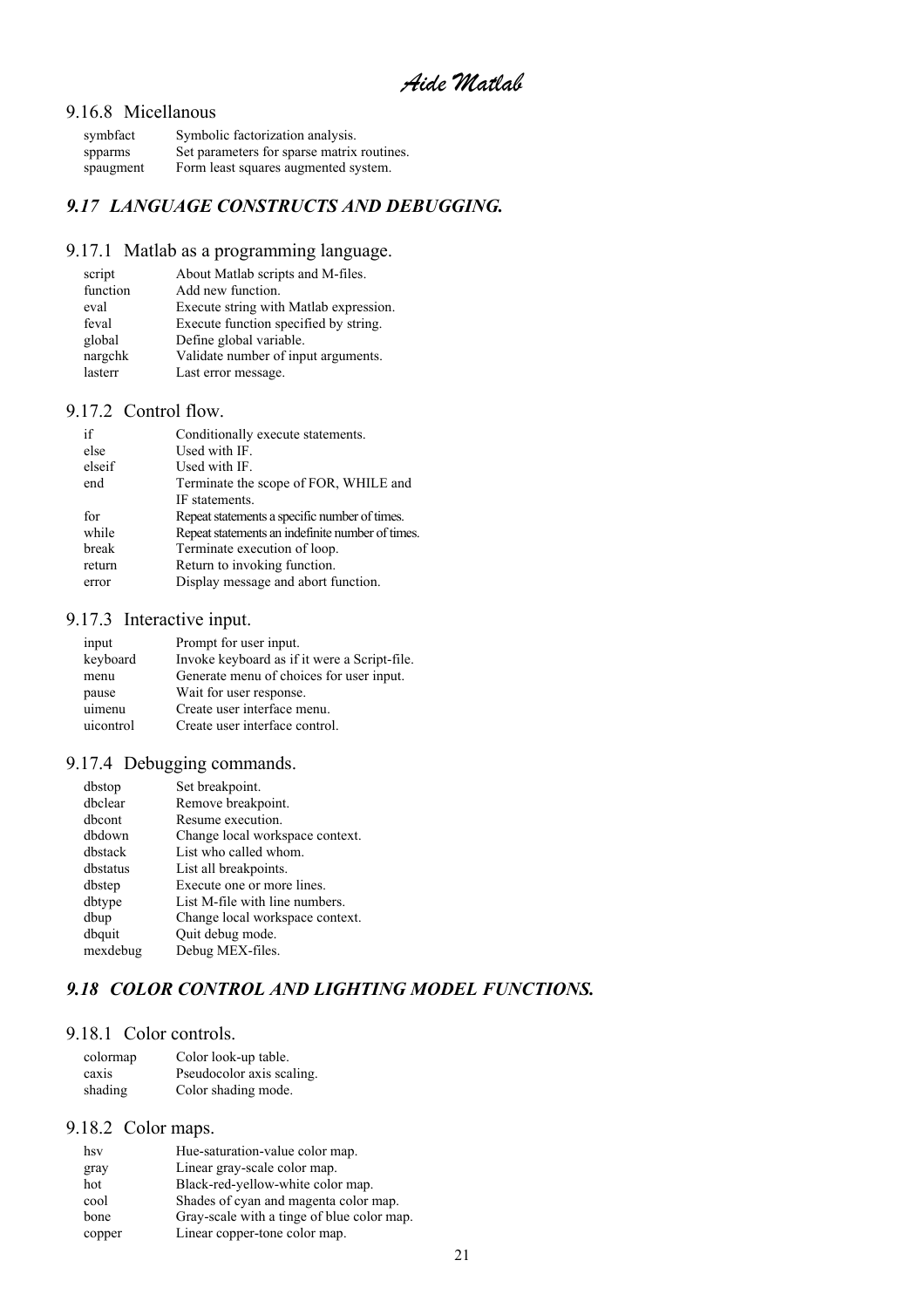#### <span id="page-20-0"></span>9.16.8 Micellanous

| symbfact  | Symbolic factorization analysis.           |
|-----------|--------------------------------------------|
| spparms   | Set parameters for sparse matrix routines. |
| spaugment | Form least squares augmented system.       |

### *9.17 LANGUAGE CONSTRUCTS AND DEBUGGING.*

### 9.17.1 Matlab as a programming language.

| About Matlab scripts and M-files.      |
|----------------------------------------|
| Add new function.                      |
| Execute string with Matlab expression. |
| Execute function specified by string.  |
| Define global variable.                |
| Validate number of input arguments.    |
| Last error message.                    |
|                                        |

### 9.17.2 Control flow.

| Terminate the scope of FOR, WHILE and            |
|--------------------------------------------------|
|                                                  |
| Repeat statements a specific number of times.    |
| Repeat statements an indefinite number of times. |
|                                                  |
|                                                  |
|                                                  |
|                                                  |

### 9.17.3 Interactive input.

| input     | Prompt for user input.                       |
|-----------|----------------------------------------------|
| keyboard  | Invoke keyboard as if it were a Script-file. |
| menu      | Generate menu of choices for user input.     |
| pause     | Wait for user response.                      |
| uimenu    | Create user interface menu.                  |
| uicontrol | Create user interface control.               |

### 9.17.4 Debugging commands.

| dbstop   | Set breakpoint.                 |
|----------|---------------------------------|
| dhclear  | Remove breakpoint.              |
| dhcont   | Resume execution.               |
| dbdown   | Change local workspace context. |
| dhstack  | List who called whom.           |
| dbstatus | List all breakpoints.           |
| dbstep   | Execute one or more lines.      |
| dbtype   | List M-file with line numbers.  |
| dbup     | Change local workspace context. |
| dbquit   | Quit debug mode.                |
| mexdebug | Debug MEX-files.                |

### *9.18 COLOR CONTROL AND LIGHTING MODEL FUNCTIONS.*

### 9.18.1 Color controls.

| colormap | Color look-up table.      |
|----------|---------------------------|
| caxis    | Pseudocolor axis scaling. |
| shading  | Color shading mode.       |

#### 9.18.2 Color maps.

| hsv    | Hue-saturation-value color map.            |
|--------|--------------------------------------------|
| gray   | Linear gray-scale color map.               |
| hot    | Black-red-yellow-white color map.          |
| cool   | Shades of cyan and magenta color map.      |
| bone   | Gray-scale with a tinge of blue color map. |
| copper | Linear copper-tone color map.              |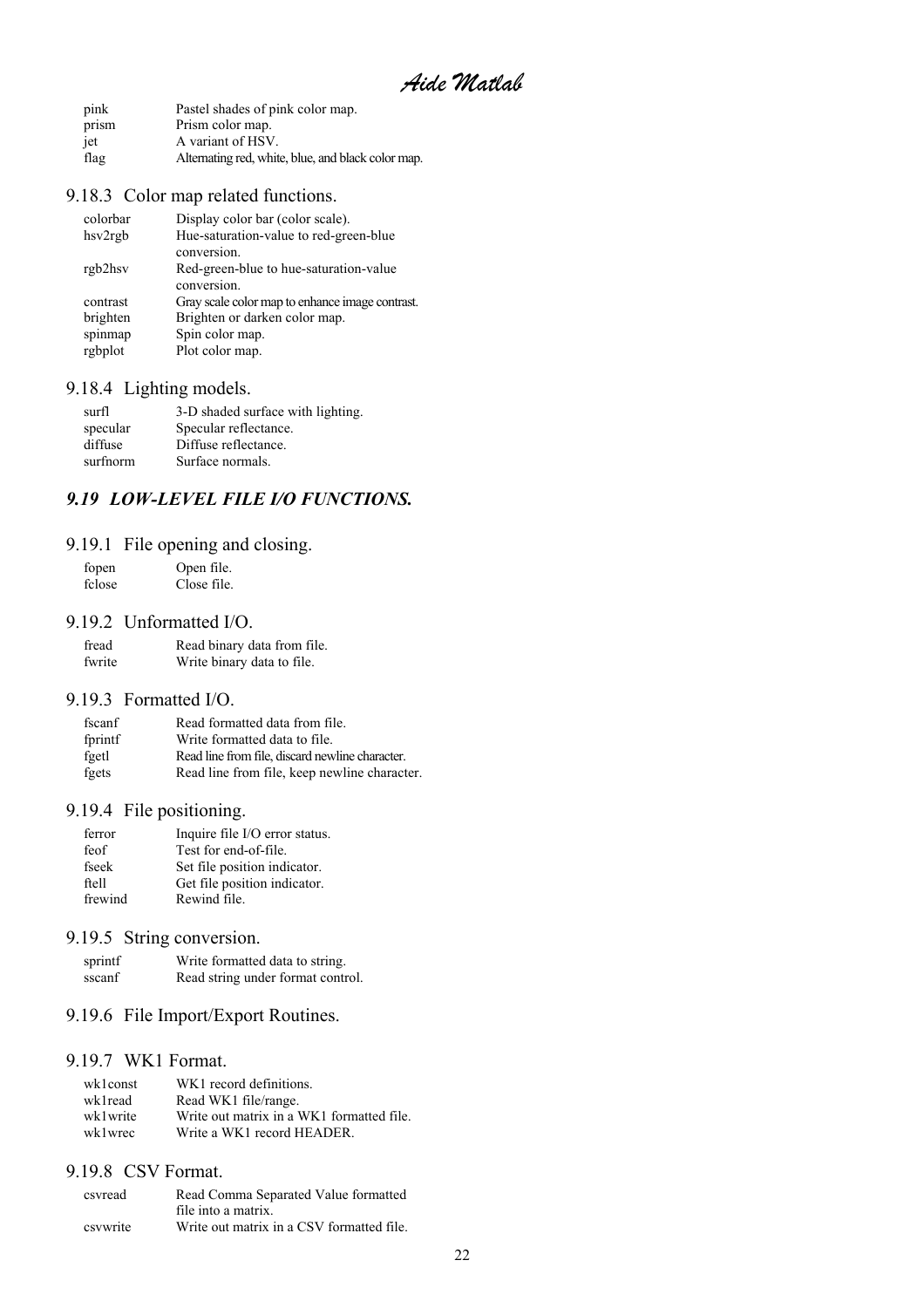*Aide Matlab* 

<span id="page-21-0"></span>

| pink  | Pastel shades of pink color map.                   |
|-------|----------------------------------------------------|
| prism | Prism color map.                                   |
| iet   | A variant of HSV.                                  |
| flag  | Alternating red, white, blue, and black color map. |

### 9.18.3 Color map related functions.

| colorbar | Display color bar (color scale).                |
|----------|-------------------------------------------------|
| hsv2rgb  | Hue-saturation-value to red-green-blue          |
|          | conversion.                                     |
| rgb2hsv  | Red-green-blue to hue-saturation-value          |
|          | conversion.                                     |
| contrast | Gray scale color map to enhance image contrast. |
| brighten | Brighten or darken color map.                   |
| spinmap  | Spin color map.                                 |
| rgbplot  | Plot color map.                                 |

### 9.18.4 Lighting models.

| surfl    | 3-D shaded surface with lighting. |
|----------|-----------------------------------|
| specular | Specular reflectance.             |
| diffuse  | Diffuse reflectance.              |
| surfnorm | Surface normals.                  |

### *9.19 LOW-LEVEL FILE I/O FUNCTIONS.*

### 9.19.1 File opening and closing.

| fopen  | Open file.  |
|--------|-------------|
| fclose | Close file. |

#### 9.19.2 Unformatted I/O.

| fread  | Read binary data from file. |
|--------|-----------------------------|
| fwrite | Write binary data to file.  |

#### 9.19.3 Formatted I/O.

| fscanf  | Read formatted data from file.                  |
|---------|-------------------------------------------------|
| fprintf | Write formatted data to file.                   |
| fgetl   | Read line from file, discard newline character. |
| fgets   | Read line from file, keep newline character.    |

### 9.19.4 File positioning.

| ferror  | Inquire file I/O error status. |
|---------|--------------------------------|
| feof    | Test for end-of-file.          |
| fseek   | Set file position indicator.   |
| ftell   | Get file position indicator.   |
| frewind | Rewind file.                   |

### 9.19.5 String conversion.

| sprintf | Write formatted data to string.   |
|---------|-----------------------------------|
| sscanf  | Read string under format control. |

### 9.19.6 File Import/Export Routines.

#### 9.19.7 WK1 Format.

| wk1const | WK1 record definitions.                   |
|----------|-------------------------------------------|
| wk1read  | Read WK1 file/range.                      |
| wk1write | Write out matrix in a WK1 formatted file. |
| wk1wrec  | Write a WK1 record HEADER.                |

#### 9.19.8 CSV Format.

| csyread  | Read Comma Separated Value formatted      |
|----------|-------------------------------------------|
|          | file into a matrix.                       |
| csywrite | Write out matrix in a CSV formatted file. |